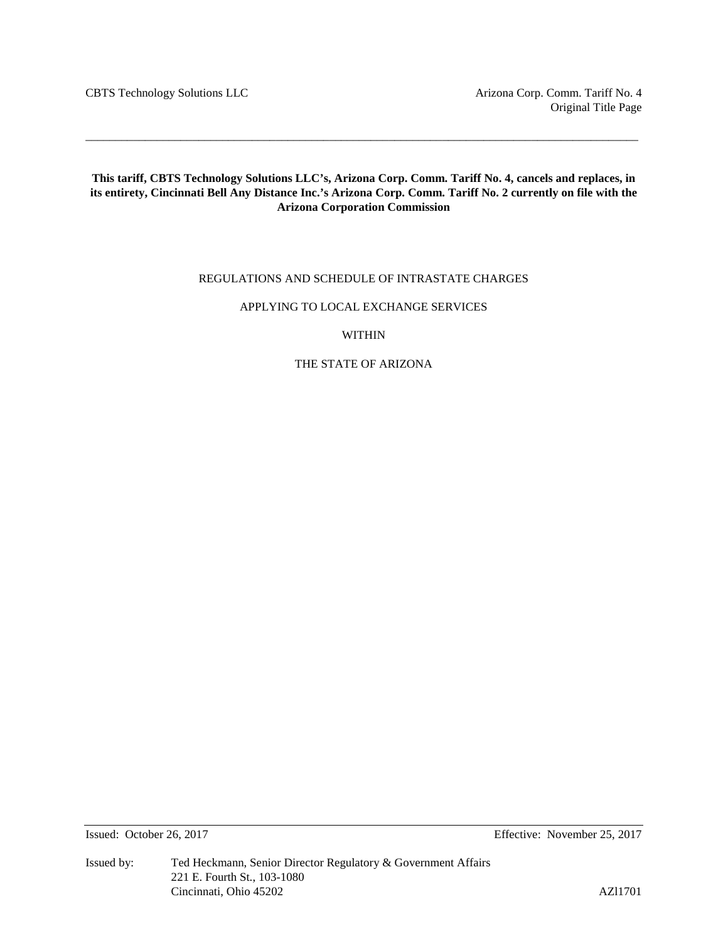CBTS Technology Solutions LLC Arizona Corp. Comm. Tariff No. 4

# **This tariff, CBTS Technology Solutions LLC's, Arizona Corp. Comm. Tariff No. 4, cancels and replaces, in its entirety, Cincinnati Bell Any Distance Inc.'s Arizona Corp. Comm. Tariff No. 2 currently on file with the Arizona Corporation Commission**

\_\_\_\_\_\_\_\_\_\_\_\_\_\_\_\_\_\_\_\_\_\_\_\_\_\_\_\_\_\_\_\_\_\_\_\_\_\_\_\_\_\_\_\_\_\_\_\_\_\_\_\_\_\_\_\_\_\_\_\_\_\_\_\_\_\_\_\_\_\_\_\_\_\_\_\_\_\_\_\_\_\_\_\_\_\_\_\_\_\_\_\_\_

# REGULATIONS AND SCHEDULE OF INTRASTATE CHARGES

# APPLYING TO LOCAL EXCHANGE SERVICES

# WITHIN

# THE STATE OF ARIZONA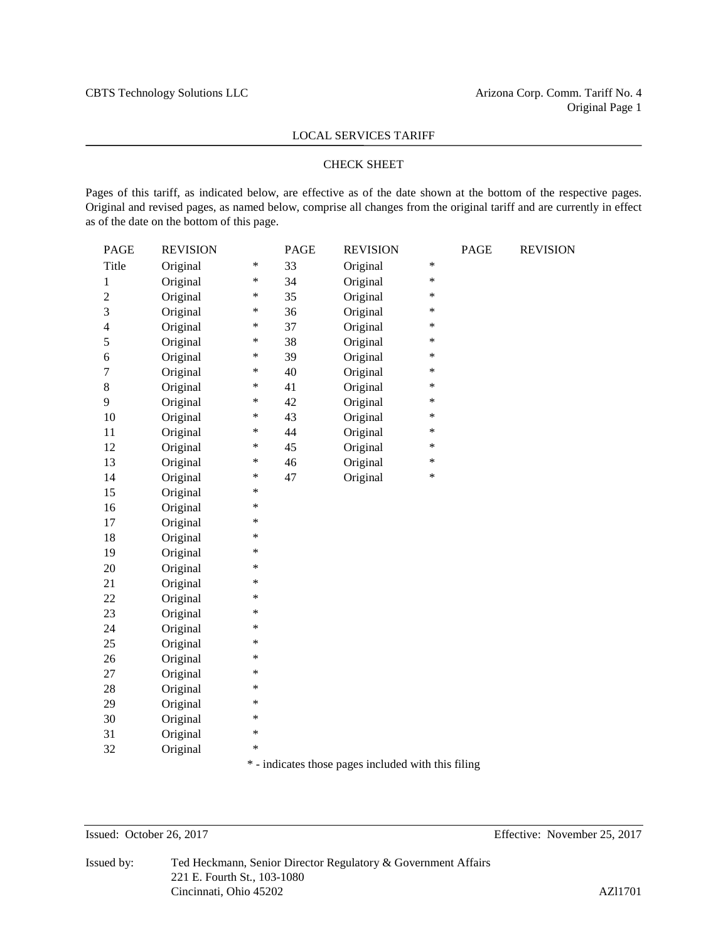# CHECK SHEET

Pages of this tariff, as indicated below, are effective as of the date shown at the bottom of the respective pages. Original and revised pages, as named below, comprise all changes from the original tariff and are currently in effect as of the date on the bottom of this page.

| PAGE           | <b>REVISION</b> |        | <b>PAGE</b> | <b>REVISION</b> |        | <b>PAGE</b> | <b>REVISION</b> |
|----------------|-----------------|--------|-------------|-----------------|--------|-------------|-----------------|
| Title          | Original        | ∗      | 33          | Original        | $\ast$ |             |                 |
| 1              | Original        | ∗      | 34          | Original        | $\ast$ |             |                 |
| $\overline{c}$ | Original        | $\ast$ | 35          | Original        | $\ast$ |             |                 |
| 3              | Original        | $\ast$ | 36          | Original        | $\ast$ |             |                 |
| $\overline{4}$ | Original        | ∗      | 37          | Original        | $\ast$ |             |                 |
| 5              | Original        | $\ast$ | 38          | Original        | $\ast$ |             |                 |
| 6              | Original        | *      | 39          | Original        | *      |             |                 |
| 7              | Original        | *      | 40          | Original        | $\ast$ |             |                 |
| $\,8\,$        | Original        | $\ast$ | 41          | Original        | *      |             |                 |
| 9              | Original        | ∗      | 42          | Original        | *      |             |                 |
| 10             | Original        | $\ast$ | 43          | Original        | $\ast$ |             |                 |
| 11             | Original        | $\ast$ | 44          | Original        | $\ast$ |             |                 |
| 12             | Original        | $\ast$ | 45          | Original        | $\ast$ |             |                 |
| 13             | Original        | *      | 46          | Original        | *      |             |                 |
| 14             | Original        | $\ast$ | 47          | Original        | $\ast$ |             |                 |
| 15             | Original        | $\ast$ |             |                 |        |             |                 |
| 16             | Original        | ∗      |             |                 |        |             |                 |
| 17             | Original        | $\ast$ |             |                 |        |             |                 |
| 18             | Original        | $\ast$ |             |                 |        |             |                 |
| 19             | Original        | $\ast$ |             |                 |        |             |                 |
| 20             | Original        | ∗      |             |                 |        |             |                 |
| 21             | Original        | ∗      |             |                 |        |             |                 |
| 22             | Original        | *      |             |                 |        |             |                 |
| 23             | Original        | ∗      |             |                 |        |             |                 |
| 24             | Original        | ∗      |             |                 |        |             |                 |
| 25             | Original        | ∗      |             |                 |        |             |                 |
| 26             | Original        | $\ast$ |             |                 |        |             |                 |
| 27             | Original        | $\ast$ |             |                 |        |             |                 |
| 28             | Original        | ∗      |             |                 |        |             |                 |
| 29             | Original        | ∗      |             |                 |        |             |                 |
| 30             | Original        | $\ast$ |             |                 |        |             |                 |
| 31             | Original        | ∗      |             |                 |        |             |                 |
| 32             | Original        | ∗      |             |                 |        |             |                 |
|                |                 |        |             |                 |        |             |                 |

\* - indicates those pages included with this filing

Issued: October 26, 2017 Effective: November 25, 2017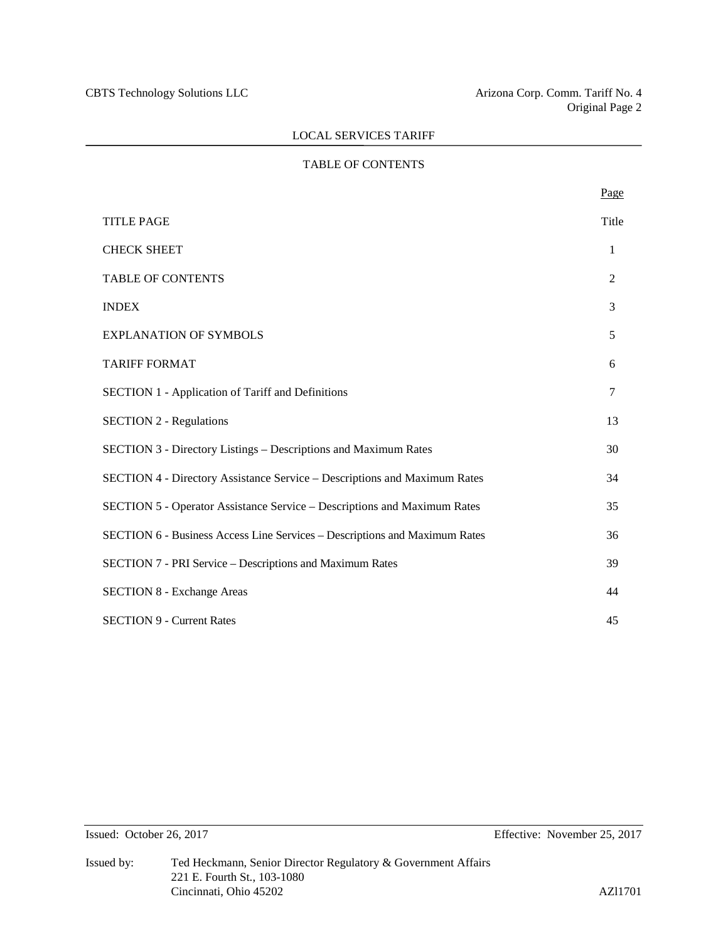# TABLE OF CONTENTS

|                                                                            | Page         |
|----------------------------------------------------------------------------|--------------|
| <b>TITLE PAGE</b>                                                          | Title        |
| <b>CHECK SHEET</b>                                                         | $\mathbf{1}$ |
| <b>TABLE OF CONTENTS</b>                                                   | 2            |
| <b>INDEX</b>                                                               | 3            |
| <b>EXPLANATION OF SYMBOLS</b>                                              | 5            |
| <b>TARIFF FORMAT</b>                                                       | 6            |
| <b>SECTION 1 - Application of Tariff and Definitions</b>                   | 7            |
| <b>SECTION 2 - Regulations</b>                                             | 13           |
| <b>SECTION 3 - Directory Listings – Descriptions and Maximum Rates</b>     | 30           |
| SECTION 4 - Directory Assistance Service - Descriptions and Maximum Rates  | 34           |
| SECTION 5 - Operator Assistance Service – Descriptions and Maximum Rates   | 35           |
| SECTION 6 - Business Access Line Services - Descriptions and Maximum Rates | 36           |
| <b>SECTION 7 - PRI Service – Descriptions and Maximum Rates</b>            | 39           |
| <b>SECTION 8 - Exchange Areas</b>                                          | 44           |
| <b>SECTION 9 - Current Rates</b>                                           | 45           |
|                                                                            |              |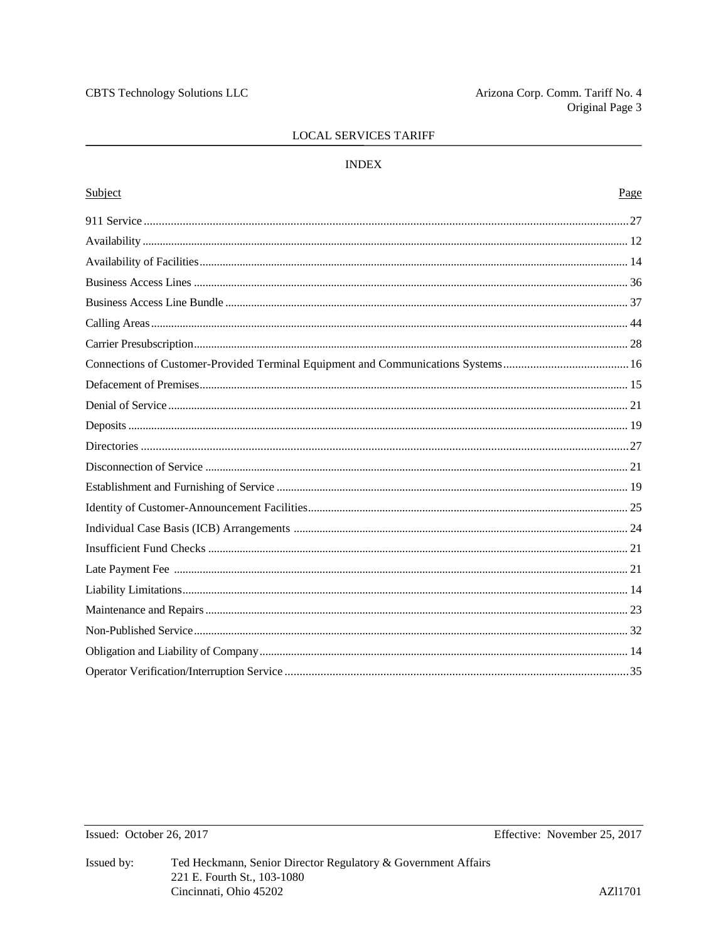# **INDEX**

| Subject | Page |
|---------|------|
|         |      |
|         |      |
|         |      |
|         |      |
|         |      |
|         |      |
|         |      |
|         |      |
|         |      |
|         |      |
|         |      |
|         |      |
|         |      |
|         |      |
|         |      |
|         |      |
|         |      |
|         |      |
|         |      |
|         |      |
|         |      |
|         |      |
|         |      |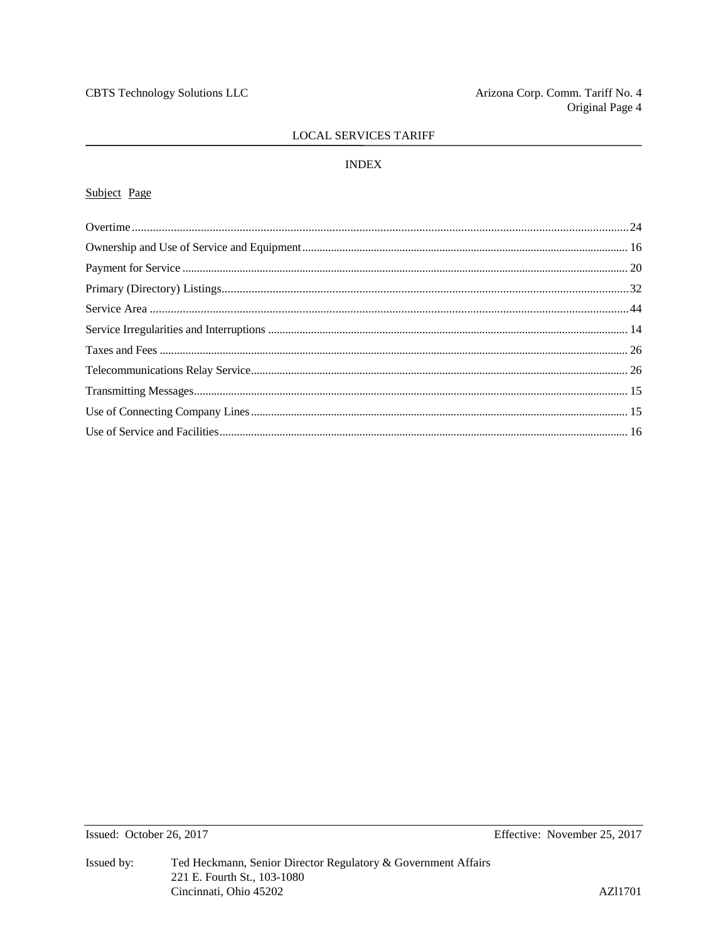# **INDEX**

# Subject Page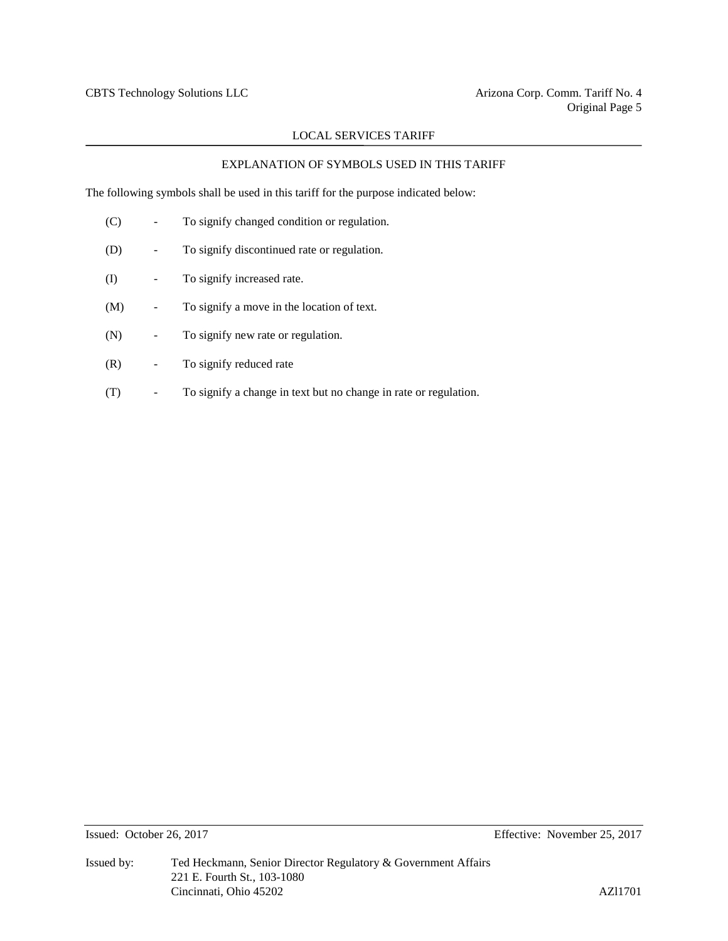# EXPLANATION OF SYMBOLS USED IN THIS TARIFF

The following symbols shall be used in this tariff for the purpose indicated below:

| (C) | To signify changed condition or regulation.                      |
|-----|------------------------------------------------------------------|
| (D) | To signify discontinued rate or regulation.                      |
| (I) | To signify increased rate.                                       |
| (M) | To signify a move in the location of text.                       |
| (N) | To signify new rate or regulation.                               |
| (R) | To signify reduced rate                                          |
| (T) | To signify a change in text but no change in rate or regulation. |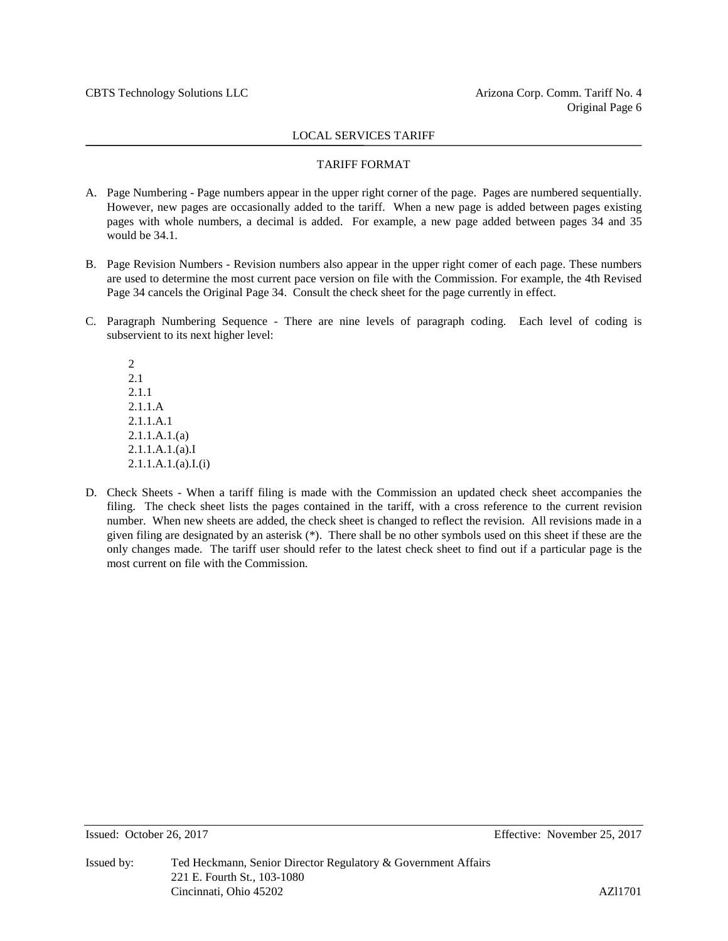#### TARIFF FORMAT

- A. Page Numbering Page numbers appear in the upper right corner of the page. Pages are numbered sequentially. However, new pages are occasionally added to the tariff. When a new page is added between pages existing pages with whole numbers, a decimal is added. For example, a new page added between pages 34 and 35 would be 34.1.
- B. Page Revision Numbers Revision numbers also appear in the upper right comer of each page. These numbers are used to determine the most current pace version on file with the Commission. For example, the 4th Revised Page 34 cancels the Original Page 34. Consult the check sheet for the page currently in effect.
- C. Paragraph Numbering Sequence There are nine levels of paragraph coding. Each level of coding is subservient to its next higher level:

2 2.1 2.1.1 2.1.1.A 2.1.1.A.1 2.1.1.A.1.(a) 2.1.1.A.1.(a).I 2.1.1.A.1.(a).I.(i)

D. Check Sheets - When a tariff filing is made with the Commission an updated check sheet accompanies the filing. The check sheet lists the pages contained in the tariff, with a cross reference to the current revision number. When new sheets are added, the check sheet is changed to reflect the revision. All revisions made in a given filing are designated by an asterisk (\*). There shall be no other symbols used on this sheet if these are the only changes made. The tariff user should refer to the latest check sheet to find out if a particular page is the most current on file with the Commission.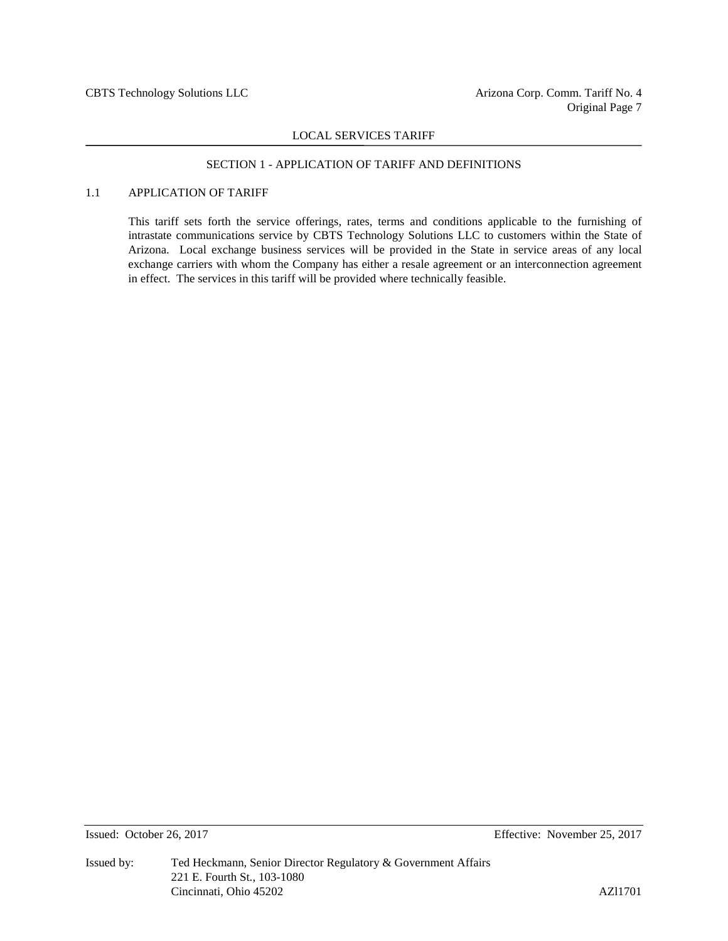# SECTION 1 - APPLICATION OF TARIFF AND DEFINITIONS

# 1.1 APPLICATION OF TARIFF

This tariff sets forth the service offerings, rates, terms and conditions applicable to the furnishing of intrastate communications service by CBTS Technology Solutions LLC to customers within the State of Arizona. Local exchange business services will be provided in the State in service areas of any local exchange carriers with whom the Company has either a resale agreement or an interconnection agreement in effect. The services in this tariff will be provided where technically feasible.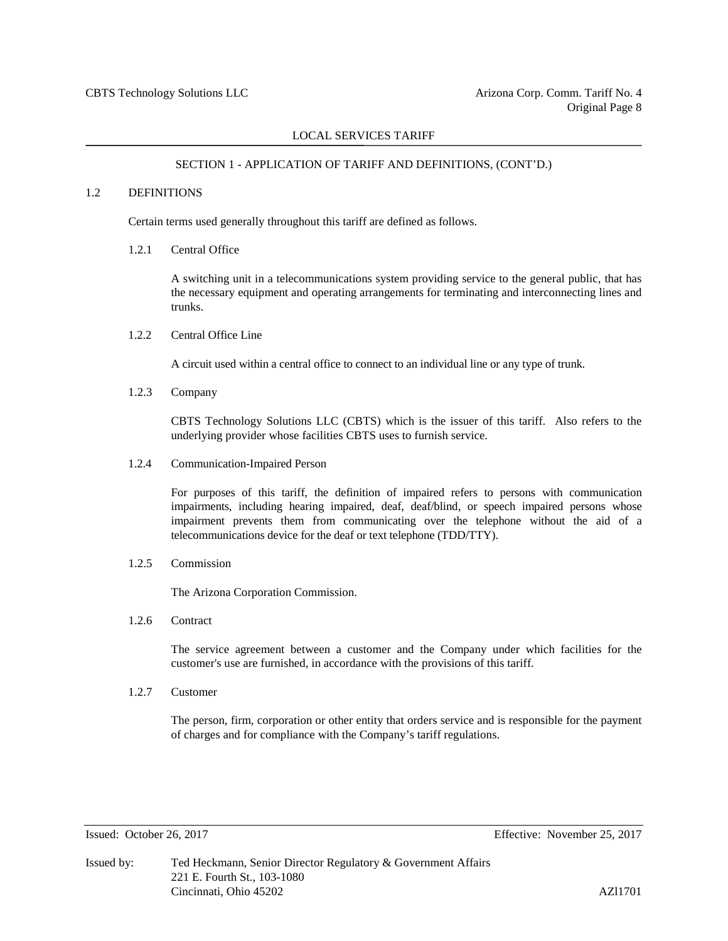#### SECTION 1 - APPLICATION OF TARIFF AND DEFINITIONS, (CONT'D.)

### 1.2 DEFINITIONS

Certain terms used generally throughout this tariff are defined as follows.

#### 1.2.1 Central Office

A switching unit in a telecommunications system providing service to the general public, that has the necessary equipment and operating arrangements for terminating and interconnecting lines and trunks.

1.2.2 Central Office Line

A circuit used within a central office to connect to an individual line or any type of trunk.

1.2.3 Company

CBTS Technology Solutions LLC (CBTS) which is the issuer of this tariff. Also refers to the underlying provider whose facilities CBTS uses to furnish service.

1.2.4 Communication-Impaired Person

For purposes of this tariff, the definition of impaired refers to persons with communication impairments, including hearing impaired, deaf, deaf/blind, or speech impaired persons whose impairment prevents them from communicating over the telephone without the aid of a telecommunications device for the deaf or text telephone (TDD/TTY).

1.2.5 Commission

The Arizona Corporation Commission.

1.2.6 Contract

The service agreement between a customer and the Company under which facilities for the customer's use are furnished, in accordance with the provisions of this tariff.

1.2.7 Customer

The person, firm, corporation or other entity that orders service and is responsible for the payment of charges and for compliance with the Company's tariff regulations.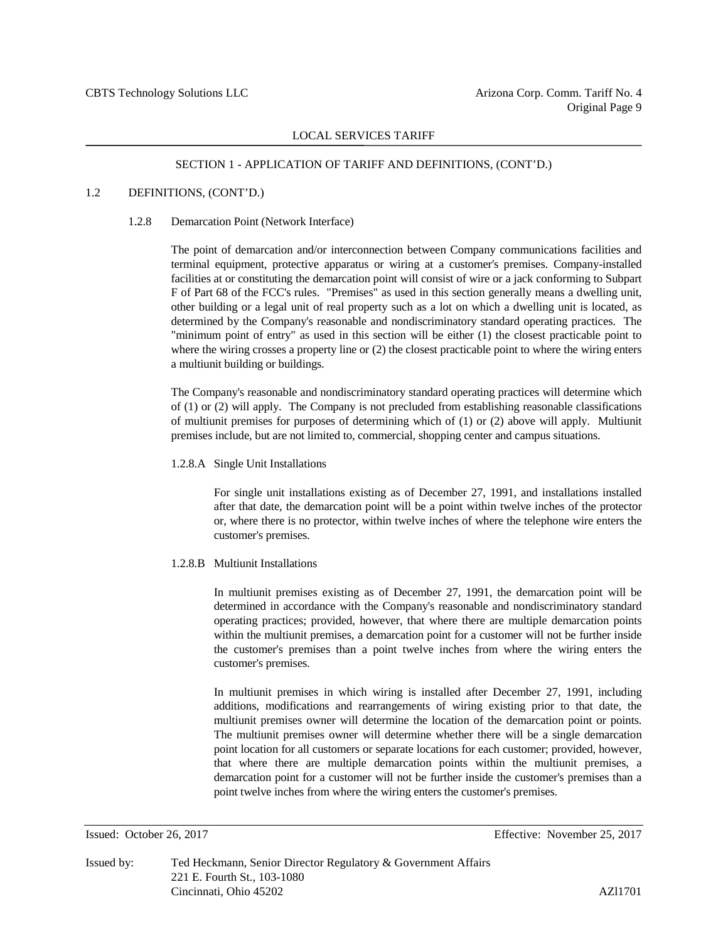#### SECTION 1 - APPLICATION OF TARIFF AND DEFINITIONS, (CONT'D.)

# 1.2 DEFINITIONS, (CONT'D.)

#### 1.2.8 Demarcation Point (Network Interface)

The point of demarcation and/or interconnection between Company communications facilities and terminal equipment, protective apparatus or wiring at a customer's premises. Company-installed facilities at or constituting the demarcation point will consist of wire or a jack conforming to Subpart F of Part 68 of the FCC's rules. "Premises" as used in this section generally means a dwelling unit, other building or a legal unit of real property such as a lot on which a dwelling unit is located, as determined by the Company's reasonable and nondiscriminatory standard operating practices. The "minimum point of entry" as used in this section will be either (1) the closest practicable point to where the wiring crosses a property line or (2) the closest practicable point to where the wiring enters a multiunit building or buildings.

The Company's reasonable and nondiscriminatory standard operating practices will determine which of (1) or (2) will apply. The Company is not precluded from establishing reasonable classifications of multiunit premises for purposes of determining which of (1) or (2) above will apply. Multiunit premises include, but are not limited to, commercial, shopping center and campus situations.

#### 1.2.8.A Single Unit Installations

For single unit installations existing as of December 27, 1991, and installations installed after that date, the demarcation point will be a point within twelve inches of the protector or, where there is no protector, within twelve inches of where the telephone wire enters the customer's premises.

#### 1.2.8.B Multiunit Installations

In multiunit premises existing as of December 27, 1991, the demarcation point will be determined in accordance with the Company's reasonable and nondiscriminatory standard operating practices; provided, however, that where there are multiple demarcation points within the multiunit premises, a demarcation point for a customer will not be further inside the customer's premises than a point twelve inches from where the wiring enters the customer's premises.

In multiunit premises in which wiring is installed after December 27, 1991, including additions, modifications and rearrangements of wiring existing prior to that date, the multiunit premises owner will determine the location of the demarcation point or points. The multiunit premises owner will determine whether there will be a single demarcation point location for all customers or separate locations for each customer; provided, however, that where there are multiple demarcation points within the multiunit premises, a demarcation point for a customer will not be further inside the customer's premises than a point twelve inches from where the wiring enters the customer's premises.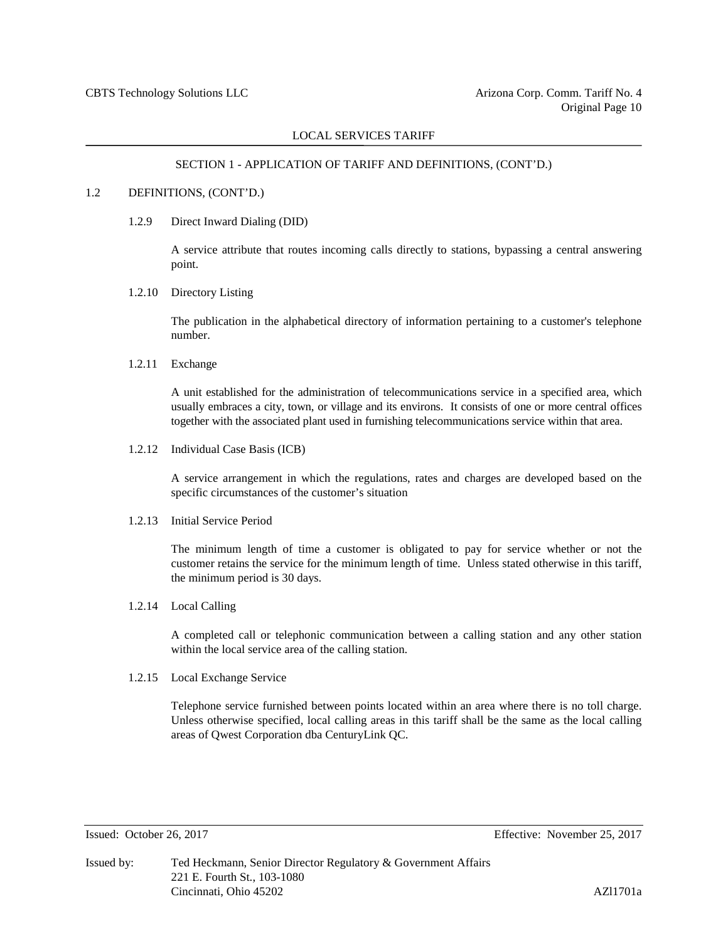#### SECTION 1 - APPLICATION OF TARIFF AND DEFINITIONS, (CONT'D.)

#### 1.2 DEFINITIONS, (CONT'D.)

1.2.9 Direct Inward Dialing (DID)

A service attribute that routes incoming calls directly to stations, bypassing a central answering point.

1.2.10 Directory Listing

The publication in the alphabetical directory of information pertaining to a customer's telephone number.

1.2.11 Exchange

A unit established for the administration of telecommunications service in a specified area, which usually embraces a city, town, or village and its environs. It consists of one or more central offices together with the associated plant used in furnishing telecommunications service within that area.

1.2.12 Individual Case Basis (ICB)

A service arrangement in which the regulations, rates and charges are developed based on the specific circumstances of the customer's situation

#### 1.2.13 Initial Service Period

The minimum length of time a customer is obligated to pay for service whether or not the customer retains the service for the minimum length of time. Unless stated otherwise in this tariff, the minimum period is 30 days.

1.2.14 Local Calling

A completed call or telephonic communication between a calling station and any other station within the local service area of the calling station.

#### 1.2.15 Local Exchange Service

Telephone service furnished between points located within an area where there is no toll charge. Unless otherwise specified, local calling areas in this tariff shall be the same as the local calling areas of Qwest Corporation dba CenturyLink QC.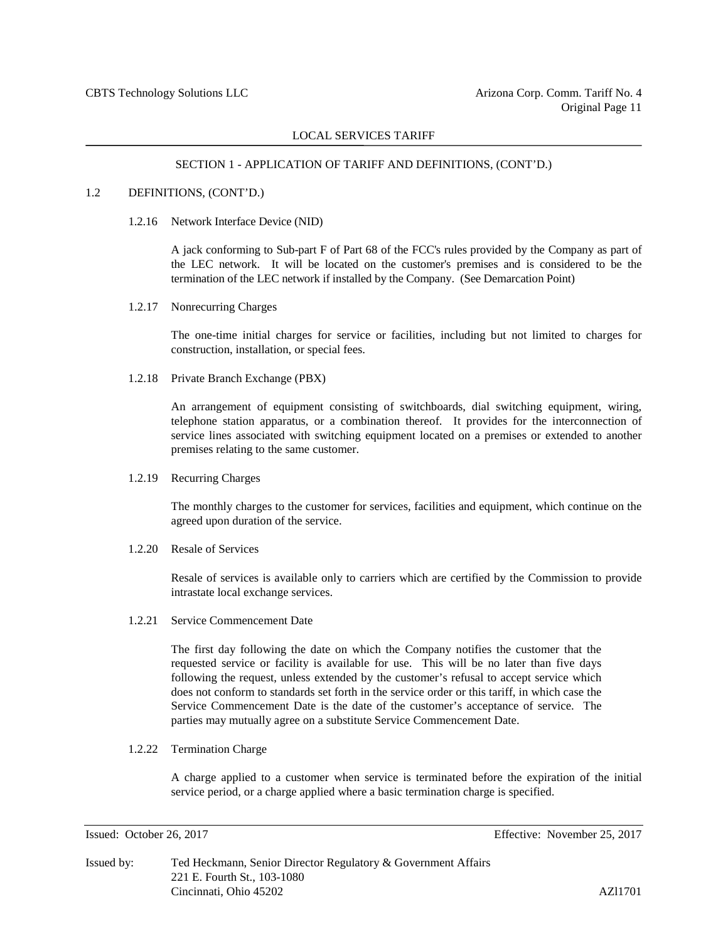#### SECTION 1 - APPLICATION OF TARIFF AND DEFINITIONS, (CONT'D.)

#### 1.2 DEFINITIONS, (CONT'D.)

1.2.16 Network Interface Device (NID)

A jack conforming to Sub-part F of Part 68 of the FCC's rules provided by the Company as part of the LEC network. It will be located on the customer's premises and is considered to be the termination of the LEC network if installed by the Company. (See Demarcation Point)

1.2.17 Nonrecurring Charges

The one-time initial charges for service or facilities, including but not limited to charges for construction, installation, or special fees.

1.2.18 Private Branch Exchange (PBX)

An arrangement of equipment consisting of switchboards, dial switching equipment, wiring, telephone station apparatus, or a combination thereof. It provides for the interconnection of service lines associated with switching equipment located on a premises or extended to another premises relating to the same customer.

#### 1.2.19 Recurring Charges

The monthly charges to the customer for services, facilities and equipment, which continue on the agreed upon duration of the service.

1.2.20 Resale of Services

Resale of services is available only to carriers which are certified by the Commission to provide intrastate local exchange services.

1.2.21 Service Commencement Date

The first day following the date on which the Company notifies the customer that the requested service or facility is available for use. This will be no later than five days following the request, unless extended by the customer's refusal to accept service which does not conform to standards set forth in the service order or this tariff, in which case the Service Commencement Date is the date of the customer's acceptance of service. The parties may mutually agree on a substitute Service Commencement Date.

1.2.22 Termination Charge

A charge applied to a customer when service is terminated before the expiration of the initial service period, or a charge applied where a basic termination charge is specified.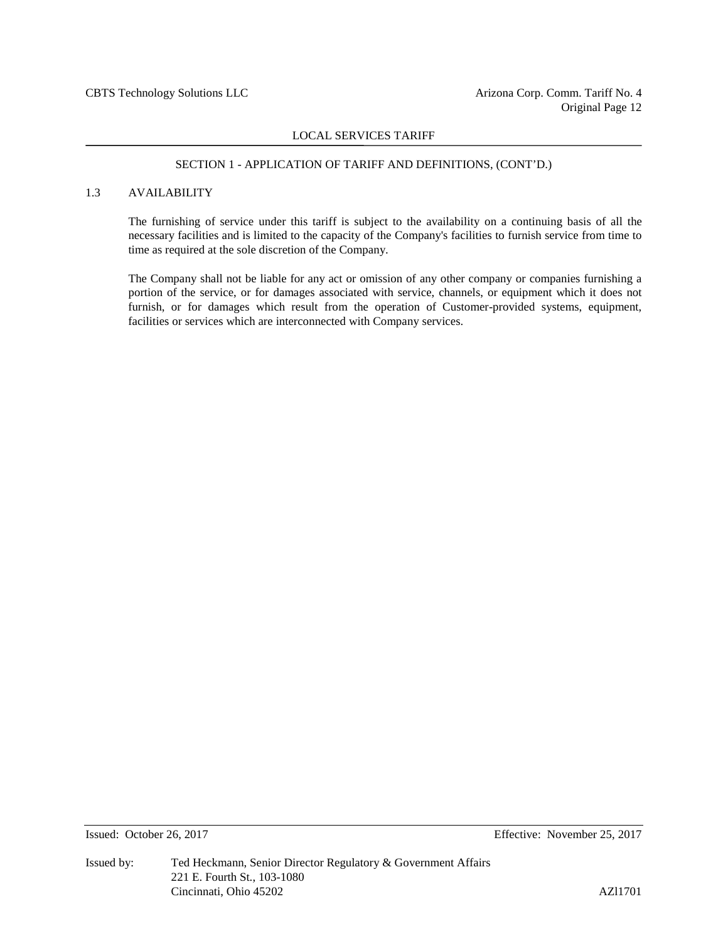#### SECTION 1 - APPLICATION OF TARIFF AND DEFINITIONS, (CONT'D.)

# 1.3 AVAILABILITY

The furnishing of service under this tariff is subject to the availability on a continuing basis of all the necessary facilities and is limited to the capacity of the Company's facilities to furnish service from time to time as required at the sole discretion of the Company.

The Company shall not be liable for any act or omission of any other company or companies furnishing a portion of the service, or for damages associated with service, channels, or equipment which it does not furnish, or for damages which result from the operation of Customer-provided systems, equipment, facilities or services which are interconnected with Company services.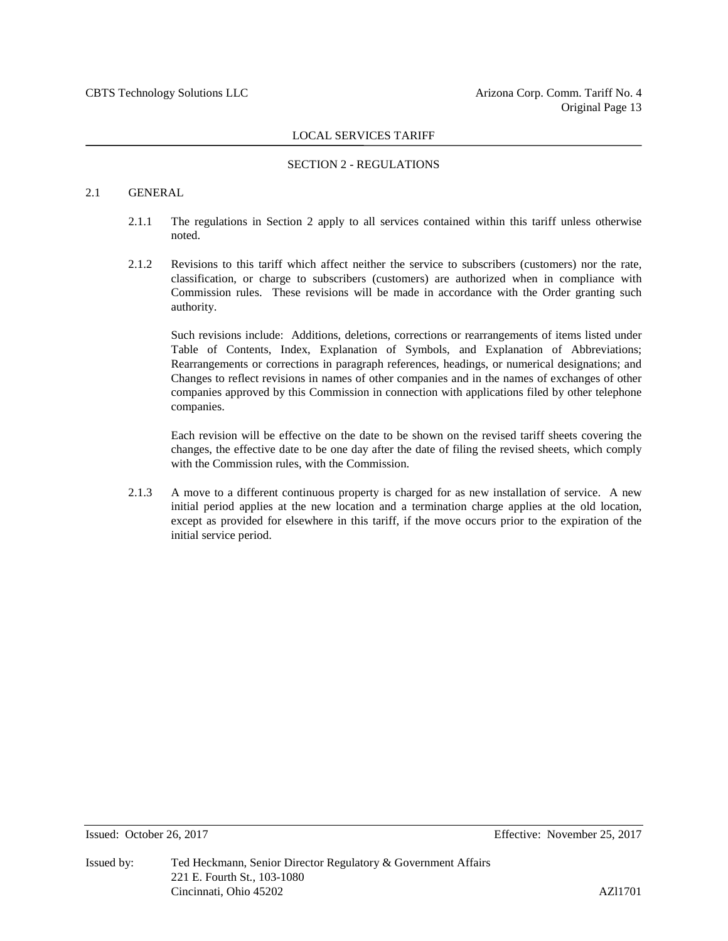#### SECTION 2 - REGULATIONS

# 2.1 GENERAL

- 2.1.1 The regulations in Section 2 apply to all services contained within this tariff unless otherwise noted.
- 2.1.2 Revisions to this tariff which affect neither the service to subscribers (customers) nor the rate, classification, or charge to subscribers (customers) are authorized when in compliance with Commission rules. These revisions will be made in accordance with the Order granting such authority.

Such revisions include: Additions, deletions, corrections or rearrangements of items listed under Table of Contents, Index, Explanation of Symbols, and Explanation of Abbreviations; Rearrangements or corrections in paragraph references, headings, or numerical designations; and Changes to reflect revisions in names of other companies and in the names of exchanges of other companies approved by this Commission in connection with applications filed by other telephone companies.

Each revision will be effective on the date to be shown on the revised tariff sheets covering the changes, the effective date to be one day after the date of filing the revised sheets, which comply with the Commission rules, with the Commission.

2.1.3 A move to a different continuous property is charged for as new installation of service. A new initial period applies at the new location and a termination charge applies at the old location, except as provided for elsewhere in this tariff, if the move occurs prior to the expiration of the initial service period.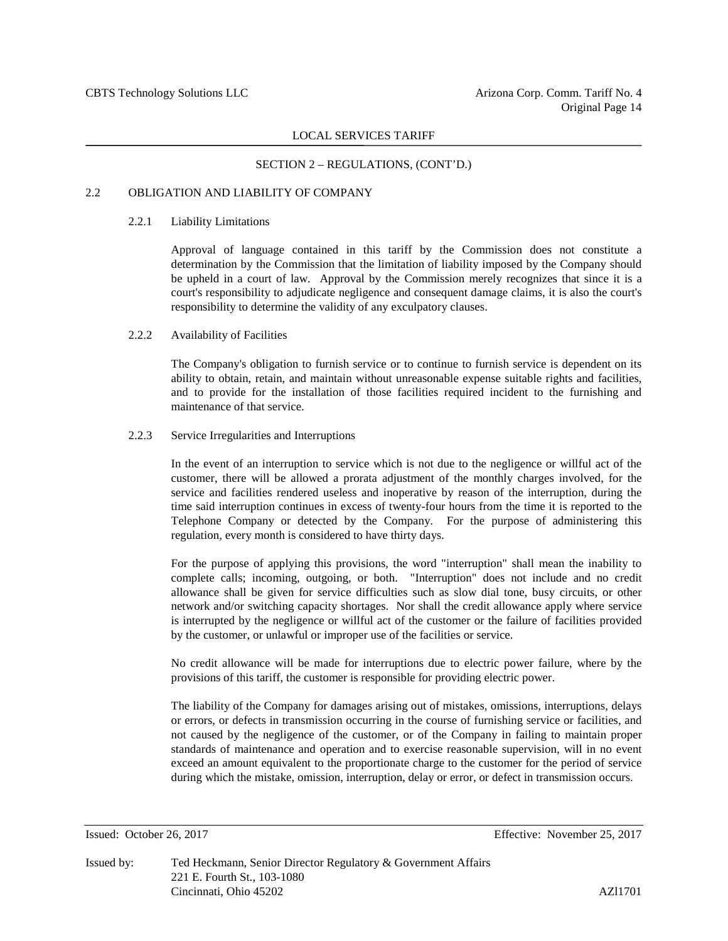#### SECTION 2 – REGULATIONS, (CONT'D.)

### 2.2 OBLIGATION AND LIABILITY OF COMPANY

#### 2.2.1 Liability Limitations

Approval of language contained in this tariff by the Commission does not constitute a determination by the Commission that the limitation of liability imposed by the Company should be upheld in a court of law. Approval by the Commission merely recognizes that since it is a court's responsibility to adjudicate negligence and consequent damage claims, it is also the court's responsibility to determine the validity of any exculpatory clauses.

#### 2.2.2 Availability of Facilities

The Company's obligation to furnish service or to continue to furnish service is dependent on its ability to obtain, retain, and maintain without unreasonable expense suitable rights and facilities, and to provide for the installation of those facilities required incident to the furnishing and maintenance of that service.

#### 2.2.3 Service Irregularities and Interruptions

In the event of an interruption to service which is not due to the negligence or willful act of the customer, there will be allowed a prorata adjustment of the monthly charges involved, for the service and facilities rendered useless and inoperative by reason of the interruption, during the time said interruption continues in excess of twenty-four hours from the time it is reported to the Telephone Company or detected by the Company. For the purpose of administering this regulation, every month is considered to have thirty days.

For the purpose of applying this provisions, the word "interruption" shall mean the inability to complete calls; incoming, outgoing, or both. "Interruption" does not include and no credit allowance shall be given for service difficulties such as slow dial tone, busy circuits, or other network and/or switching capacity shortages. Nor shall the credit allowance apply where service is interrupted by the negligence or willful act of the customer or the failure of facilities provided by the customer, or unlawful or improper use of the facilities or service.

No credit allowance will be made for interruptions due to electric power failure, where by the provisions of this tariff, the customer is responsible for providing electric power.

The liability of the Company for damages arising out of mistakes, omissions, interruptions, delays or errors, or defects in transmission occurring in the course of furnishing service or facilities, and not caused by the negligence of the customer, or of the Company in failing to maintain proper standards of maintenance and operation and to exercise reasonable supervision, will in no event exceed an amount equivalent to the proportionate charge to the customer for the period of service during which the mistake, omission, interruption, delay or error, or defect in transmission occurs.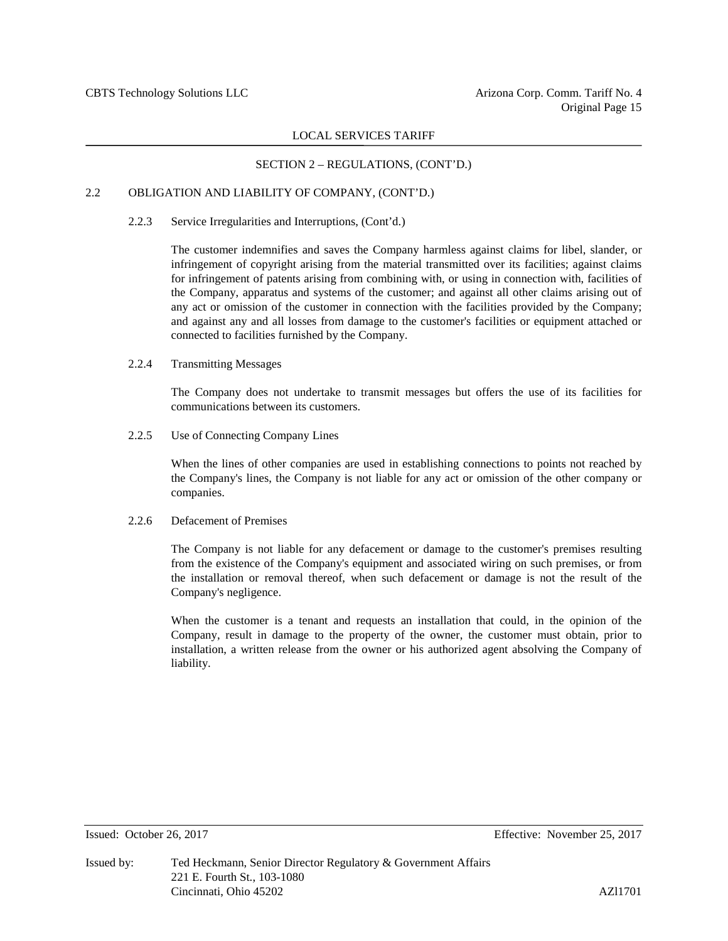### SECTION 2 – REGULATIONS, (CONT'D.)

# 2.2 OBLIGATION AND LIABILITY OF COMPANY, (CONT'D.)

#### 2.2.3 Service Irregularities and Interruptions, (Cont'd.)

The customer indemnifies and saves the Company harmless against claims for libel, slander, or infringement of copyright arising from the material transmitted over its facilities; against claims for infringement of patents arising from combining with, or using in connection with, facilities of the Company, apparatus and systems of the customer; and against all other claims arising out of any act or omission of the customer in connection with the facilities provided by the Company; and against any and all losses from damage to the customer's facilities or equipment attached or connected to facilities furnished by the Company.

#### 2.2.4 Transmitting Messages

The Company does not undertake to transmit messages but offers the use of its facilities for communications between its customers.

2.2.5 Use of Connecting Company Lines

When the lines of other companies are used in establishing connections to points not reached by the Company's lines, the Company is not liable for any act or omission of the other company or companies.

#### 2.2.6 Defacement of Premises

The Company is not liable for any defacement or damage to the customer's premises resulting from the existence of the Company's equipment and associated wiring on such premises, or from the installation or removal thereof, when such defacement or damage is not the result of the Company's negligence.

When the customer is a tenant and requests an installation that could, in the opinion of the Company, result in damage to the property of the owner, the customer must obtain, prior to installation, a written release from the owner or his authorized agent absolving the Company of liability.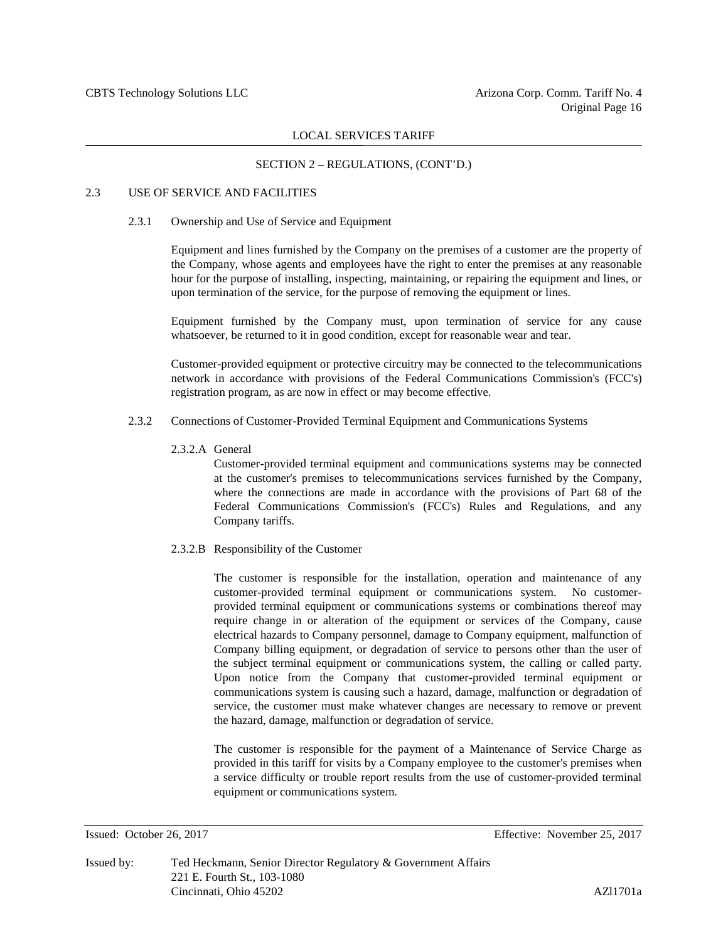# SECTION 2 – REGULATIONS, (CONT'D.)

# 2.3 USE OF SERVICE AND FACILITIES

#### 2.3.1 Ownership and Use of Service and Equipment

Equipment and lines furnished by the Company on the premises of a customer are the property of the Company, whose agents and employees have the right to enter the premises at any reasonable hour for the purpose of installing, inspecting, maintaining, or repairing the equipment and lines, or upon termination of the service, for the purpose of removing the equipment or lines.

Equipment furnished by the Company must, upon termination of service for any cause whatsoever, be returned to it in good condition, except for reasonable wear and tear.

Customer-provided equipment or protective circuitry may be connected to the telecommunications network in accordance with provisions of the Federal Communications Commission's (FCC's) registration program, as are now in effect or may become effective.

# 2.3.2 Connections of Customer-Provided Terminal Equipment and Communications Systems

2.3.2.A General

Customer-provided terminal equipment and communications systems may be connected at the customer's premises to telecommunications services furnished by the Company, where the connections are made in accordance with the provisions of Part 68 of the Federal Communications Commission's (FCC's) Rules and Regulations, and any Company tariffs.

2.3.2.B Responsibility of the Customer

The customer is responsible for the installation, operation and maintenance of any customer-provided terminal equipment or communications system. No customerprovided terminal equipment or communications systems or combinations thereof may require change in or alteration of the equipment or services of the Company, cause electrical hazards to Company personnel, damage to Company equipment, malfunction of Company billing equipment, or degradation of service to persons other than the user of the subject terminal equipment or communications system, the calling or called party. Upon notice from the Company that customer-provided terminal equipment or communications system is causing such a hazard, damage, malfunction or degradation of service, the customer must make whatever changes are necessary to remove or prevent the hazard, damage, malfunction or degradation of service.

The customer is responsible for the payment of a Maintenance of Service Charge as provided in this tariff for visits by a Company employee to the customer's premises when a service difficulty or trouble report results from the use of customer-provided terminal equipment or communications system.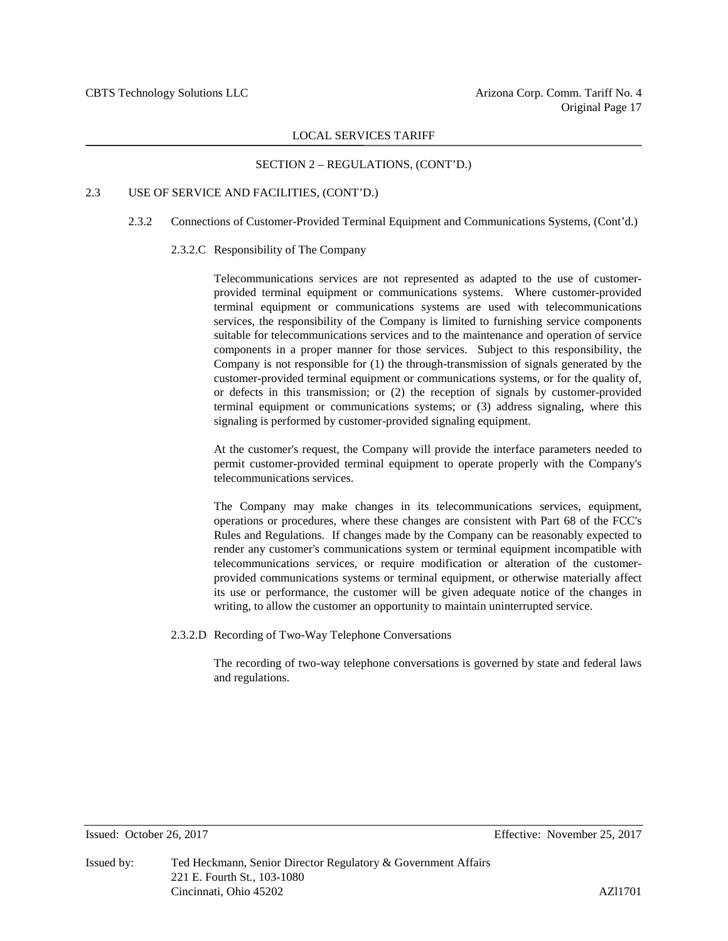# SECTION 2 – REGULATIONS, (CONT'D.)

# 2.3 USE OF SERVICE AND FACILITIES, (CONT'D.)

#### 2.3.2 Connections of Customer-Provided Terminal Equipment and Communications Systems, (Cont'd.)

#### 2.3.2.C Responsibility of The Company

Telecommunications services are not represented as adapted to the use of customerprovided terminal equipment or communications systems. Where customer-provided terminal equipment or communications systems are used with telecommunications services, the responsibility of the Company is limited to furnishing service components suitable for telecommunications services and to the maintenance and operation of service components in a proper manner for those services. Subject to this responsibility, the Company is not responsible for (1) the through-transmission of signals generated by the customer-provided terminal equipment or communications systems, or for the quality of, or defects in this transmission; or (2) the reception of signals by customer-provided terminal equipment or communications systems; or (3) address signaling, where this signaling is performed by customer-provided signaling equipment.

At the customer's request, the Company will provide the interface parameters needed to permit customer-provided terminal equipment to operate properly with the Company's telecommunications services.

The Company may make changes in its telecommunications services, equipment, operations or procedures, where these changes are consistent with Part 68 of the FCC's Rules and Regulations. If changes made by the Company can be reasonably expected to render any customer's communications system or terminal equipment incompatible with telecommunications services, or require modification or alteration of the customerprovided communications systems or terminal equipment, or otherwise materially affect its use or performance, the customer will be given adequate notice of the changes in writing, to allow the customer an opportunity to maintain uninterrupted service.

2.3.2.D Recording of Two-Way Telephone Conversations

The recording of two-way telephone conversations is governed by state and federal laws and regulations.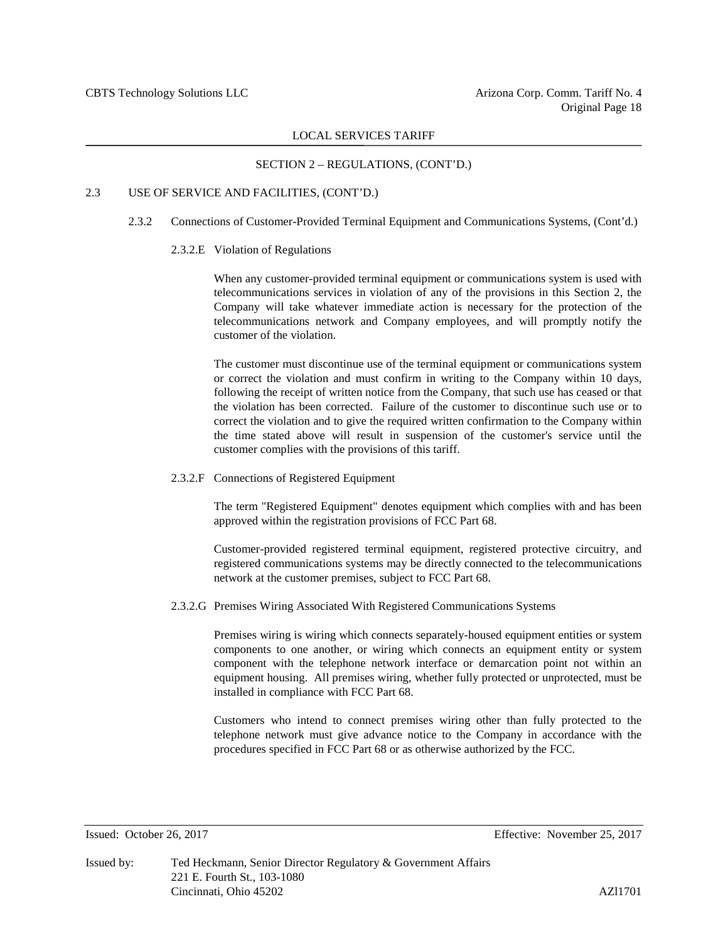# SECTION 2 – REGULATIONS, (CONT'D.)

# 2.3 USE OF SERVICE AND FACILITIES, (CONT'D.)

#### 2.3.2 Connections of Customer-Provided Terminal Equipment and Communications Systems, (Cont'd.)

#### 2.3.2.E Violation of Regulations

When any customer-provided terminal equipment or communications system is used with telecommunications services in violation of any of the provisions in this Section 2, the Company will take whatever immediate action is necessary for the protection of the telecommunications network and Company employees, and will promptly notify the customer of the violation.

The customer must discontinue use of the terminal equipment or communications system or correct the violation and must confirm in writing to the Company within 10 days, following the receipt of written notice from the Company, that such use has ceased or that the violation has been corrected. Failure of the customer to discontinue such use or to correct the violation and to give the required written confirmation to the Company within the time stated above will result in suspension of the customer's service until the customer complies with the provisions of this tariff.

#### 2.3.2.F Connections of Registered Equipment

The term "Registered Equipment" denotes equipment which complies with and has been approved within the registration provisions of FCC Part 68.

Customer-provided registered terminal equipment, registered protective circuitry, and registered communications systems may be directly connected to the telecommunications network at the customer premises, subject to FCC Part 68.

2.3.2.G Premises Wiring Associated With Registered Communications Systems

Premises wiring is wiring which connects separately-housed equipment entities or system components to one another, or wiring which connects an equipment entity or system component with the telephone network interface or demarcation point not within an equipment housing. All premises wiring, whether fully protected or unprotected, must be installed in compliance with FCC Part 68.

Customers who intend to connect premises wiring other than fully protected to the telephone network must give advance notice to the Company in accordance with the procedures specified in FCC Part 68 or as otherwise authorized by the FCC.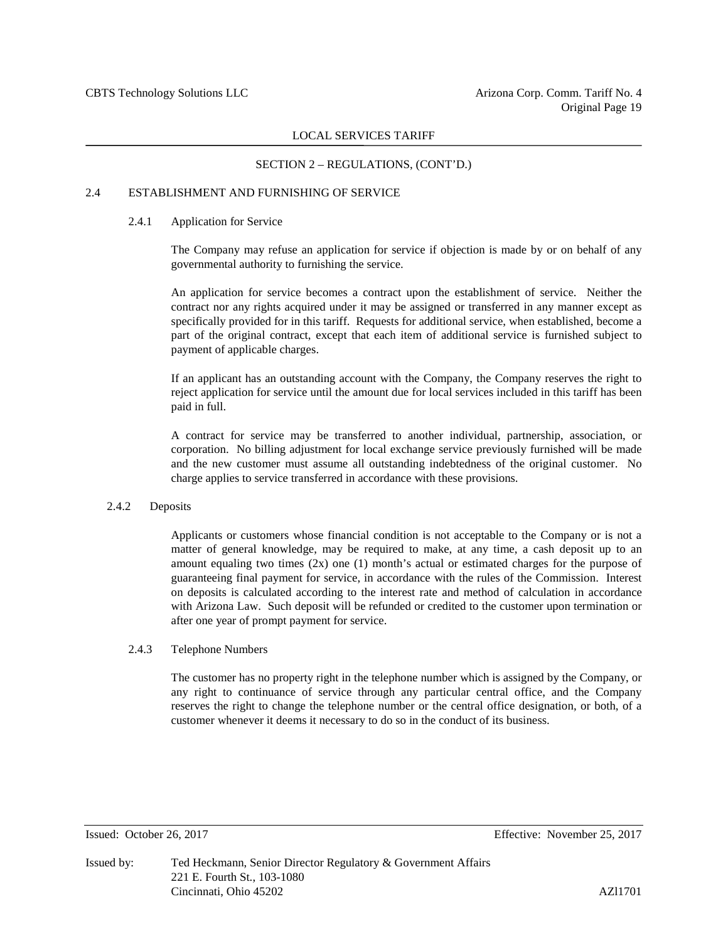# SECTION 2 – REGULATIONS, (CONT'D.)

#### 2.4 ESTABLISHMENT AND FURNISHING OF SERVICE

#### 2.4.1 Application for Service

The Company may refuse an application for service if objection is made by or on behalf of any governmental authority to furnishing the service.

An application for service becomes a contract upon the establishment of service. Neither the contract nor any rights acquired under it may be assigned or transferred in any manner except as specifically provided for in this tariff. Requests for additional service, when established, become a part of the original contract, except that each item of additional service is furnished subject to payment of applicable charges.

If an applicant has an outstanding account with the Company, the Company reserves the right to reject application for service until the amount due for local services included in this tariff has been paid in full.

A contract for service may be transferred to another individual, partnership, association, or corporation. No billing adjustment for local exchange service previously furnished will be made and the new customer must assume all outstanding indebtedness of the original customer. No charge applies to service transferred in accordance with these provisions.

#### 2.4.2 Deposits

Applicants or customers whose financial condition is not acceptable to the Company or is not a matter of general knowledge, may be required to make, at any time, a cash deposit up to an amount equaling two times  $(2x)$  one  $(1)$  month's actual or estimated charges for the purpose of guaranteeing final payment for service, in accordance with the rules of the Commission. Interest on deposits is calculated according to the interest rate and method of calculation in accordance with Arizona Law. Such deposit will be refunded or credited to the customer upon termination or after one year of prompt payment for service.

#### 2.4.3 Telephone Numbers

The customer has no property right in the telephone number which is assigned by the Company, or any right to continuance of service through any particular central office, and the Company reserves the right to change the telephone number or the central office designation, or both, of a customer whenever it deems it necessary to do so in the conduct of its business.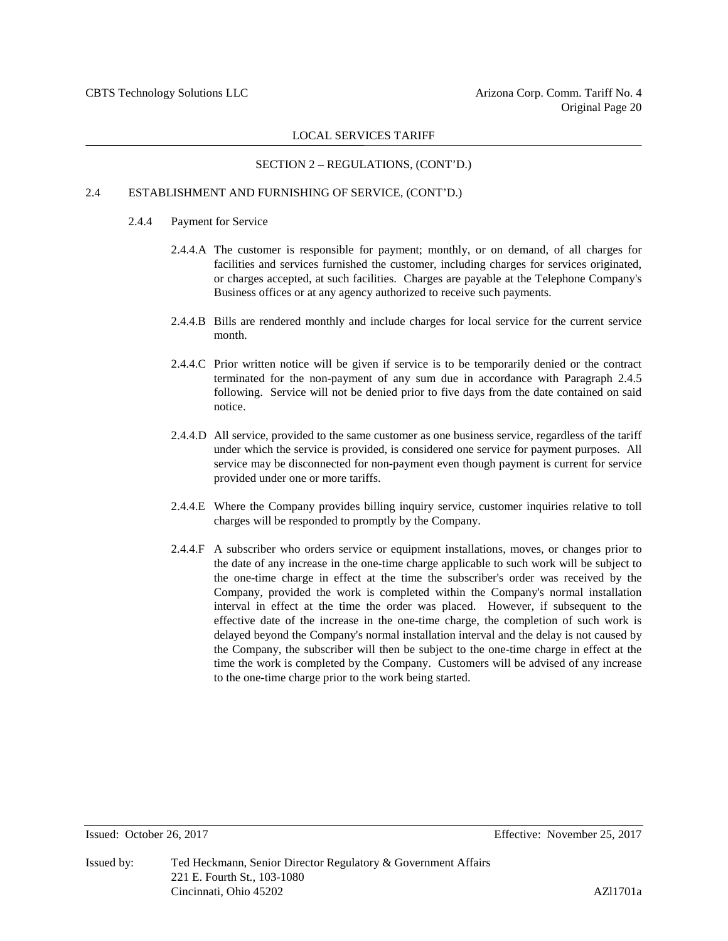# SECTION 2 – REGULATIONS, (CONT'D.)

### 2.4 ESTABLISHMENT AND FURNISHING OF SERVICE, (CONT'D.)

#### 2.4.4 Payment for Service

- 2.4.4.A The customer is responsible for payment; monthly, or on demand, of all charges for facilities and services furnished the customer, including charges for services originated, or charges accepted, at such facilities. Charges are payable at the Telephone Company's Business offices or at any agency authorized to receive such payments.
- 2.4.4.B Bills are rendered monthly and include charges for local service for the current service month.
- 2.4.4.C Prior written notice will be given if service is to be temporarily denied or the contract terminated for the non-payment of any sum due in accordance with Paragraph 2.4.5 following. Service will not be denied prior to five days from the date contained on said notice.
- 2.4.4.D All service, provided to the same customer as one business service, regardless of the tariff under which the service is provided, is considered one service for payment purposes. All service may be disconnected for non-payment even though payment is current for service provided under one or more tariffs.
- 2.4.4.E Where the Company provides billing inquiry service, customer inquiries relative to toll charges will be responded to promptly by the Company.
- 2.4.4.F A subscriber who orders service or equipment installations, moves, or changes prior to the date of any increase in the one-time charge applicable to such work will be subject to the one-time charge in effect at the time the subscriber's order was received by the Company, provided the work is completed within the Company's normal installation interval in effect at the time the order was placed. However, if subsequent to the effective date of the increase in the one-time charge, the completion of such work is delayed beyond the Company's normal installation interval and the delay is not caused by the Company, the subscriber will then be subject to the one-time charge in effect at the time the work is completed by the Company. Customers will be advised of any increase to the one-time charge prior to the work being started.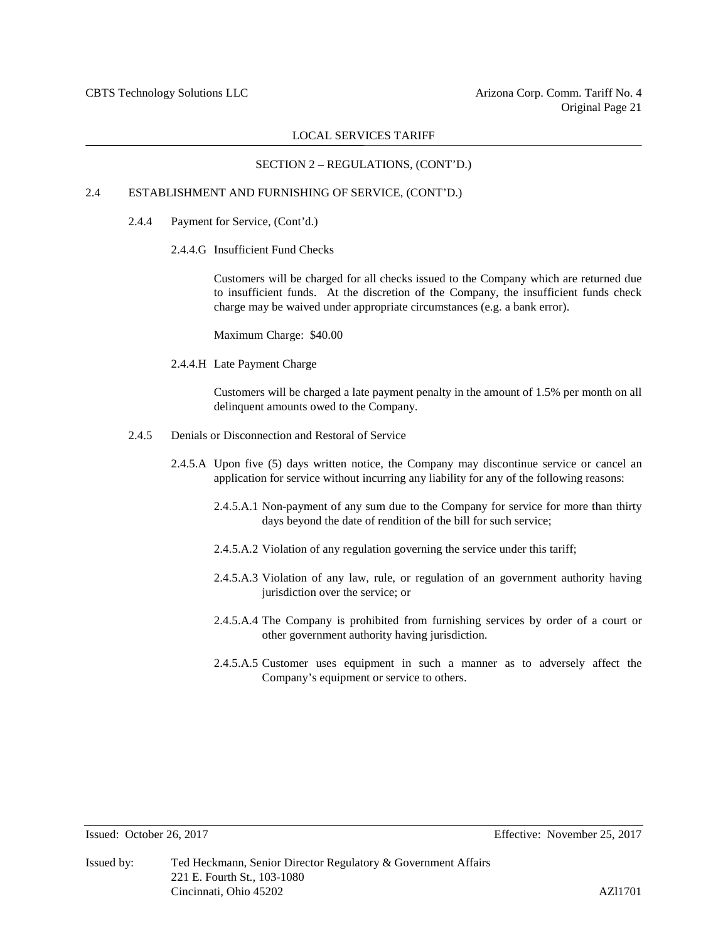# SECTION 2 – REGULATIONS, (CONT'D.)

# 2.4 ESTABLISHMENT AND FURNISHING OF SERVICE, (CONT'D.)

- 2.4.4 Payment for Service, (Cont'd.)
	- 2.4.4.G Insufficient Fund Checks

Customers will be charged for all checks issued to the Company which are returned due to insufficient funds. At the discretion of the Company, the insufficient funds check charge may be waived under appropriate circumstances (e.g. a bank error).

Maximum Charge: \$40.00

2.4.4.H Late Payment Charge

Customers will be charged a late payment penalty in the amount of 1.5% per month on all delinquent amounts owed to the Company.

- 2.4.5 Denials or Disconnection and Restoral of Service
	- 2.4.5.A Upon five (5) days written notice, the Company may discontinue service or cancel an application for service without incurring any liability for any of the following reasons:
		- 2.4.5.A.1 Non-payment of any sum due to the Company for service for more than thirty days beyond the date of rendition of the bill for such service;
		- 2.4.5.A.2 Violation of any regulation governing the service under this tariff;
		- 2.4.5.A.3 Violation of any law, rule, or regulation of an government authority having jurisdiction over the service; or
		- 2.4.5.A.4 The Company is prohibited from furnishing services by order of a court or other government authority having jurisdiction.
		- 2.4.5.A.5 Customer uses equipment in such a manner as to adversely affect the Company's equipment or service to others.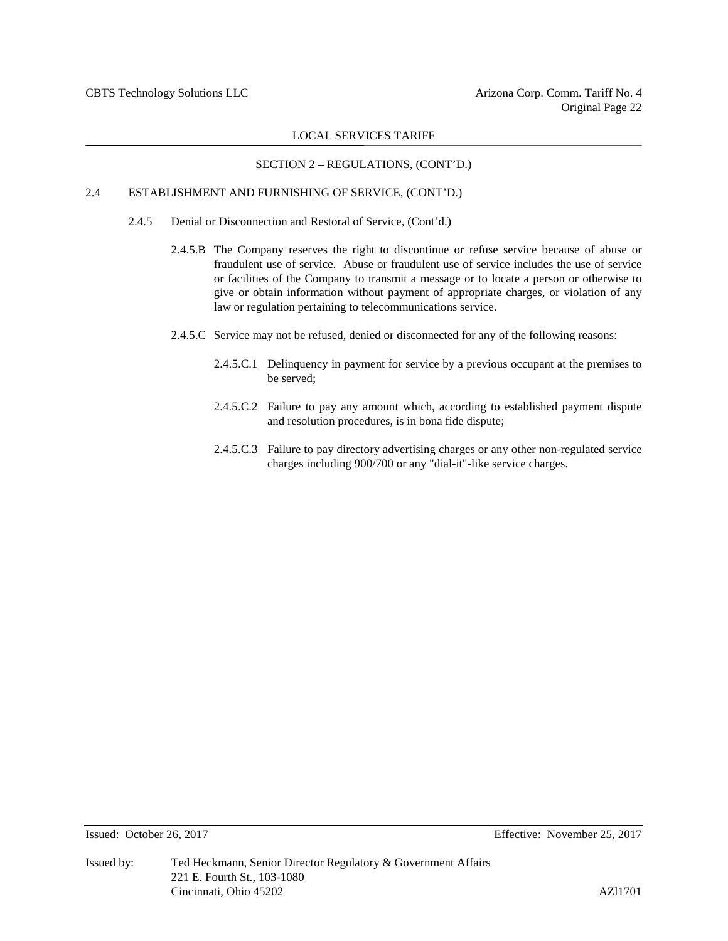#### SECTION 2 – REGULATIONS, (CONT'D.)

# 2.4 ESTABLISHMENT AND FURNISHING OF SERVICE, (CONT'D.)

- 2.4.5 Denial or Disconnection and Restoral of Service, (Cont'd.)
	- 2.4.5.B The Company reserves the right to discontinue or refuse service because of abuse or fraudulent use of service. Abuse or fraudulent use of service includes the use of service or facilities of the Company to transmit a message or to locate a person or otherwise to give or obtain information without payment of appropriate charges, or violation of any law or regulation pertaining to telecommunications service.
	- 2.4.5.C Service may not be refused, denied or disconnected for any of the following reasons:
		- 2.4.5.C.1 Delinquency in payment for service by a previous occupant at the premises to be served;
		- 2.4.5.C.2 Failure to pay any amount which, according to established payment dispute and resolution procedures, is in bona fide dispute;
		- 2.4.5.C.3 Failure to pay directory advertising charges or any other non-regulated service charges including 900/700 or any "dial-it"-like service charges.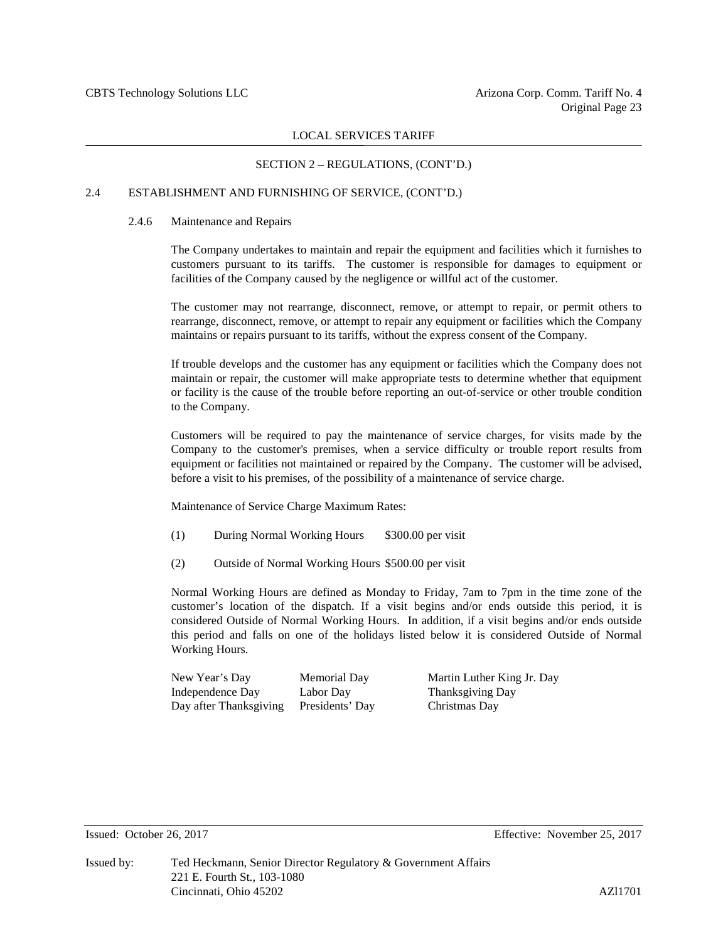#### SECTION 2 – REGULATIONS, (CONT'D.)

# 2.4 ESTABLISHMENT AND FURNISHING OF SERVICE, (CONT'D.)

#### 2.4.6 Maintenance and Repairs

The Company undertakes to maintain and repair the equipment and facilities which it furnishes to customers pursuant to its tariffs. The customer is responsible for damages to equipment or facilities of the Company caused by the negligence or willful act of the customer.

The customer may not rearrange, disconnect, remove, or attempt to repair, or permit others to rearrange, disconnect, remove, or attempt to repair any equipment or facilities which the Company maintains or repairs pursuant to its tariffs, without the express consent of the Company.

If trouble develops and the customer has any equipment or facilities which the Company does not maintain or repair, the customer will make appropriate tests to determine whether that equipment or facility is the cause of the trouble before reporting an out-of-service or other trouble condition to the Company.

Customers will be required to pay the maintenance of service charges, for visits made by the Company to the customer's premises, when a service difficulty or trouble report results from equipment or facilities not maintained or repaired by the Company. The customer will be advised, before a visit to his premises, of the possibility of a maintenance of service charge.

Maintenance of Service Charge Maximum Rates:

- (1) During Normal Working Hours \$300.00 per visit
- (2) Outside of Normal Working Hours \$500.00 per visit

Normal Working Hours are defined as Monday to Friday, 7am to 7pm in the time zone of the customer's location of the dispatch. If a visit begins and/or ends outside this period, it is considered Outside of Normal Working Hours. In addition, if a visit begins and/or ends outside this period and falls on one of the holidays listed below it is considered Outside of Normal Working Hours.

| New Year's Day         | Memorial Day    | Martin Luther King Jr. Day |
|------------------------|-----------------|----------------------------|
| Independence Day       | Labor Day       | Thanksgiving Day           |
| Day after Thanksgiving | Presidents' Day | Christmas Day              |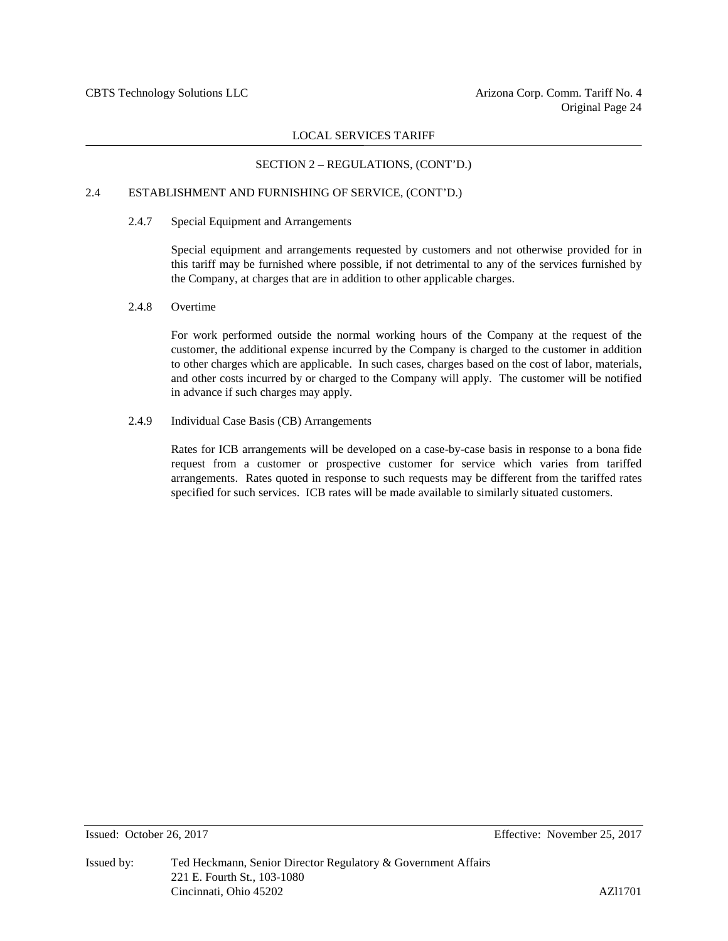#### SECTION 2 – REGULATIONS, (CONT'D.)

# 2.4 ESTABLISHMENT AND FURNISHING OF SERVICE, (CONT'D.)

#### 2.4.7 Special Equipment and Arrangements

Special equipment and arrangements requested by customers and not otherwise provided for in this tariff may be furnished where possible, if not detrimental to any of the services furnished by the Company, at charges that are in addition to other applicable charges.

#### 2.4.8 Overtime

For work performed outside the normal working hours of the Company at the request of the customer, the additional expense incurred by the Company is charged to the customer in addition to other charges which are applicable. In such cases, charges based on the cost of labor, materials, and other costs incurred by or charged to the Company will apply. The customer will be notified in advance if such charges may apply.

# 2.4.9 Individual Case Basis (CB) Arrangements

Rates for ICB arrangements will be developed on a case-by-case basis in response to a bona fide request from a customer or prospective customer for service which varies from tariffed arrangements. Rates quoted in response to such requests may be different from the tariffed rates specified for such services. ICB rates will be made available to similarly situated customers.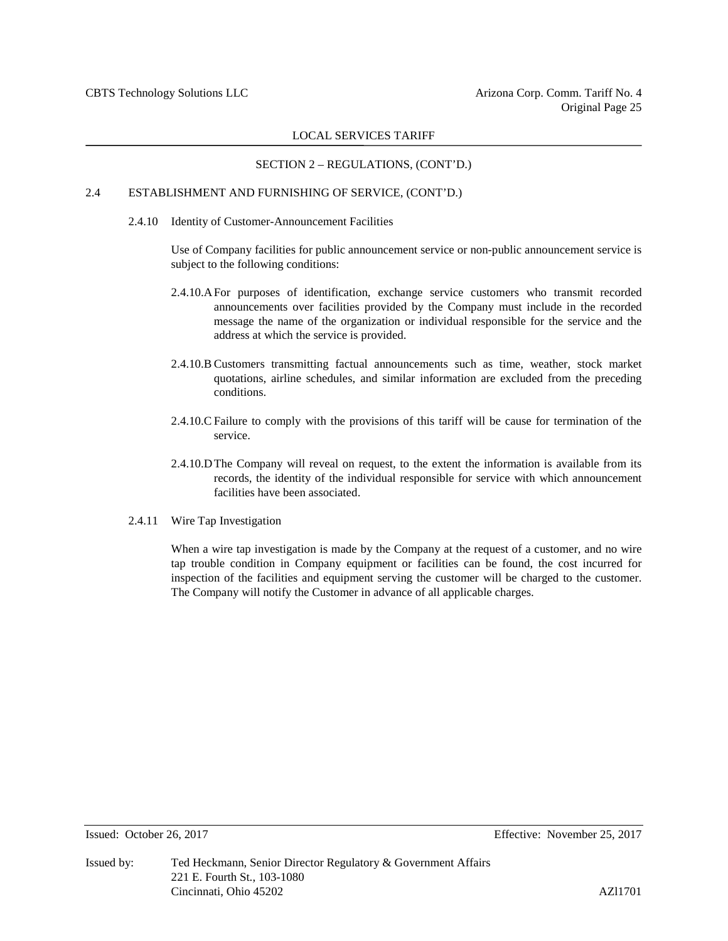# SECTION 2 – REGULATIONS, (CONT'D.)

# 2.4 ESTABLISHMENT AND FURNISHING OF SERVICE, (CONT'D.)

2.4.10 Identity of Customer-Announcement Facilities

Use of Company facilities for public announcement service or non-public announcement service is subject to the following conditions:

- 2.4.10.AFor purposes of identification, exchange service customers who transmit recorded announcements over facilities provided by the Company must include in the recorded message the name of the organization or individual responsible for the service and the address at which the service is provided.
- 2.4.10.B Customers transmitting factual announcements such as time, weather, stock market quotations, airline schedules, and similar information are excluded from the preceding conditions.
- 2.4.10.C Failure to comply with the provisions of this tariff will be cause for termination of the service.
- 2.4.10.DThe Company will reveal on request, to the extent the information is available from its records, the identity of the individual responsible for service with which announcement facilities have been associated.
- 2.4.11 Wire Tap Investigation

When a wire tap investigation is made by the Company at the request of a customer, and no wire tap trouble condition in Company equipment or facilities can be found, the cost incurred for inspection of the facilities and equipment serving the customer will be charged to the customer. The Company will notify the Customer in advance of all applicable charges.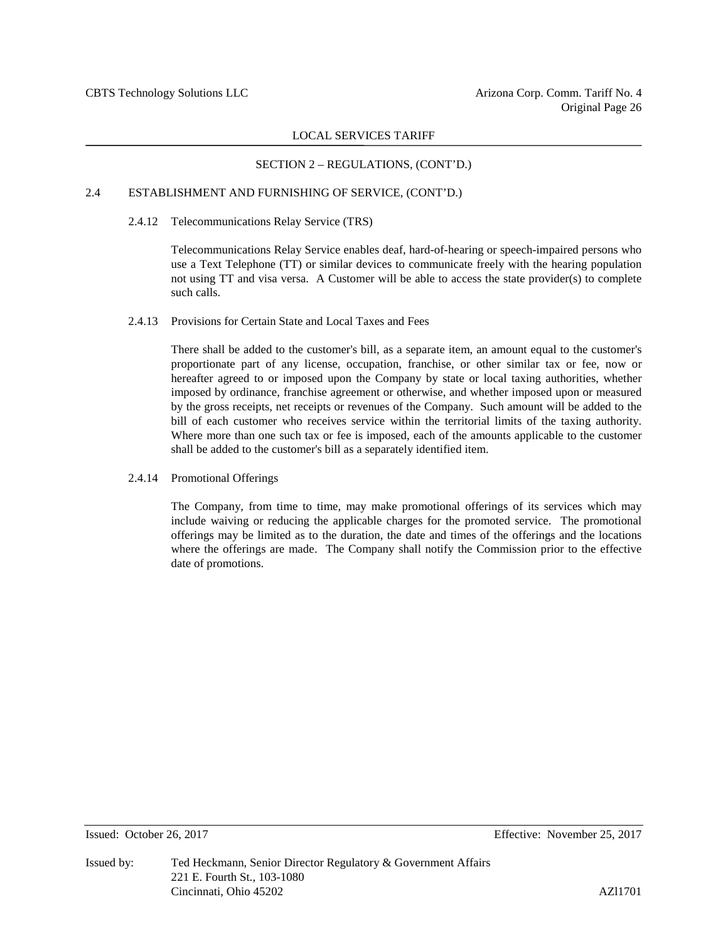# SECTION 2 – REGULATIONS, (CONT'D.)

# 2.4 ESTABLISHMENT AND FURNISHING OF SERVICE, (CONT'D.)

#### 2.4.12 Telecommunications Relay Service (TRS)

Telecommunications Relay Service enables deaf, hard-of-hearing or speech-impaired persons who use a Text Telephone (TT) or similar devices to communicate freely with the hearing population not using TT and visa versa. A Customer will be able to access the state provider(s) to complete such calls.

#### 2.4.13 Provisions for Certain State and Local Taxes and Fees

There shall be added to the customer's bill, as a separate item, an amount equal to the customer's proportionate part of any license, occupation, franchise, or other similar tax or fee, now or hereafter agreed to or imposed upon the Company by state or local taxing authorities, whether imposed by ordinance, franchise agreement or otherwise, and whether imposed upon or measured by the gross receipts, net receipts or revenues of the Company. Such amount will be added to the bill of each customer who receives service within the territorial limits of the taxing authority. Where more than one such tax or fee is imposed, each of the amounts applicable to the customer shall be added to the customer's bill as a separately identified item.

#### 2.4.14 Promotional Offerings

The Company, from time to time, may make promotional offerings of its services which may include waiving or reducing the applicable charges for the promoted service. The promotional offerings may be limited as to the duration, the date and times of the offerings and the locations where the offerings are made. The Company shall notify the Commission prior to the effective date of promotions.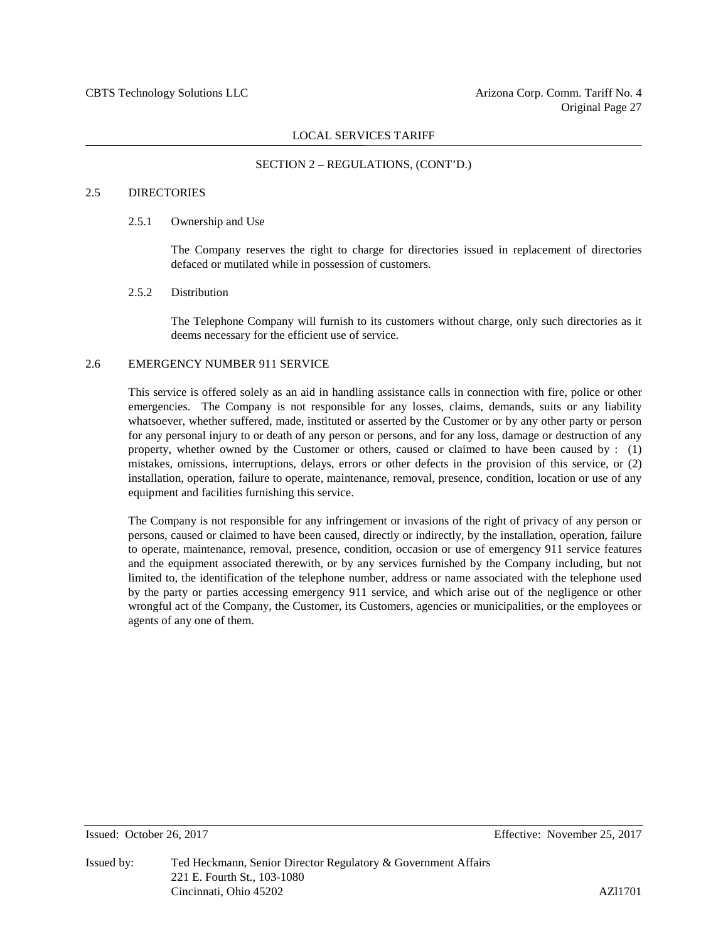#### SECTION 2 – REGULATIONS, (CONT'D.)

### 2.5 DIRECTORIES

#### 2.5.1 Ownership and Use

The Company reserves the right to charge for directories issued in replacement of directories defaced or mutilated while in possession of customers.

#### 2.5.2 Distribution

The Telephone Company will furnish to its customers without charge, only such directories as it deems necessary for the efficient use of service.

#### 2.6 EMERGENCY NUMBER 911 SERVICE

This service is offered solely as an aid in handling assistance calls in connection with fire, police or other emergencies. The Company is not responsible for any losses, claims, demands, suits or any liability whatsoever, whether suffered, made, instituted or asserted by the Customer or by any other party or person for any personal injury to or death of any person or persons, and for any loss, damage or destruction of any property, whether owned by the Customer or others, caused or claimed to have been caused by : (1) mistakes, omissions, interruptions, delays, errors or other defects in the provision of this service, or (2) installation, operation, failure to operate, maintenance, removal, presence, condition, location or use of any equipment and facilities furnishing this service.

The Company is not responsible for any infringement or invasions of the right of privacy of any person or persons, caused or claimed to have been caused, directly or indirectly, by the installation, operation, failure to operate, maintenance, removal, presence, condition, occasion or use of emergency 911 service features and the equipment associated therewith, or by any services furnished by the Company including, but not limited to, the identification of the telephone number, address or name associated with the telephone used by the party or parties accessing emergency 911 service, and which arise out of the negligence or other wrongful act of the Company, the Customer, its Customers, agencies or municipalities, or the employees or agents of any one of them.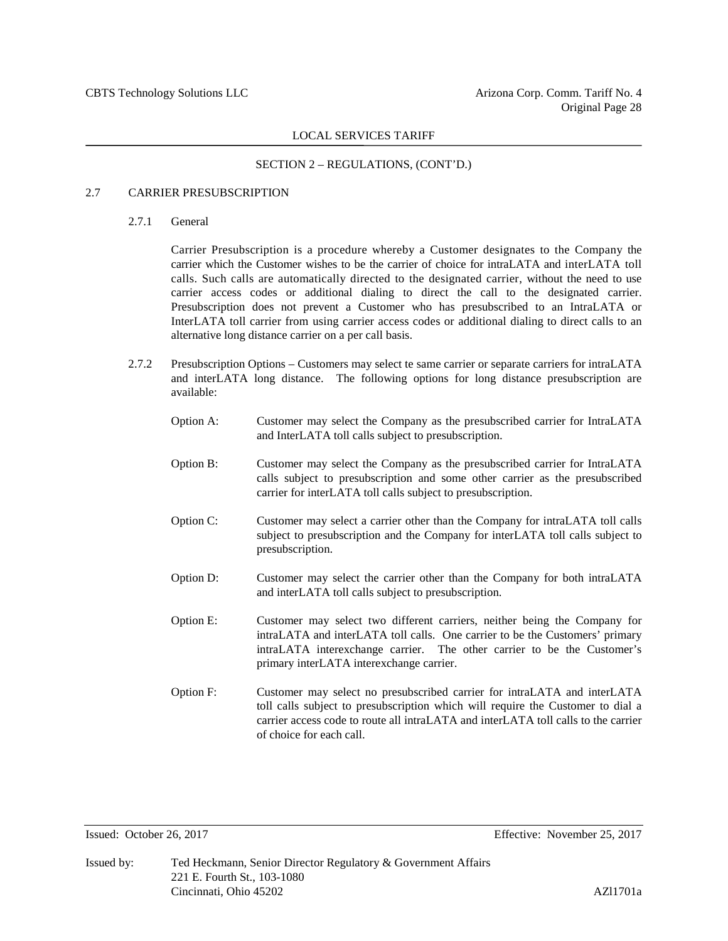#### SECTION 2 – REGULATIONS, (CONT'D.)

#### 2.7 CARRIER PRESUBSCRIPTION

2.7.1 General

Carrier Presubscription is a procedure whereby a Customer designates to the Company the carrier which the Customer wishes to be the carrier of choice for intraLATA and interLATA toll calls. Such calls are automatically directed to the designated carrier, without the need to use carrier access codes or additional dialing to direct the call to the designated carrier. Presubscription does not prevent a Customer who has presubscribed to an IntraLATA or InterLATA toll carrier from using carrier access codes or additional dialing to direct calls to an alternative long distance carrier on a per call basis.

- 2.7.2 Presubscription Options Customers may select te same carrier or separate carriers for intraLATA and interLATA long distance. The following options for long distance presubscription are available:
	- Option A: Customer may select the Company as the presubscribed carrier for IntraLATA and InterLATA toll calls subject to presubscription.
	- Option B: Customer may select the Company as the presubscribed carrier for IntraLATA calls subject to presubscription and some other carrier as the presubscribed carrier for interLATA toll calls subject to presubscription.
	- Option C: Customer may select a carrier other than the Company for intraLATA toll calls subject to presubscription and the Company for interLATA toll calls subject to presubscription.
	- Option D: Customer may select the carrier other than the Company for both intraLATA and interLATA toll calls subject to presubscription.
	- Option E: Customer may select two different carriers, neither being the Company for intraLATA and interLATA toll calls. One carrier to be the Customers' primary intraLATA interexchange carrier. The other carrier to be the Customer's primary interLATA interexchange carrier.
	- Option F: Customer may select no presubscribed carrier for intraLATA and interLATA toll calls subject to presubscription which will require the Customer to dial a carrier access code to route all intraLATA and interLATA toll calls to the carrier of choice for each call.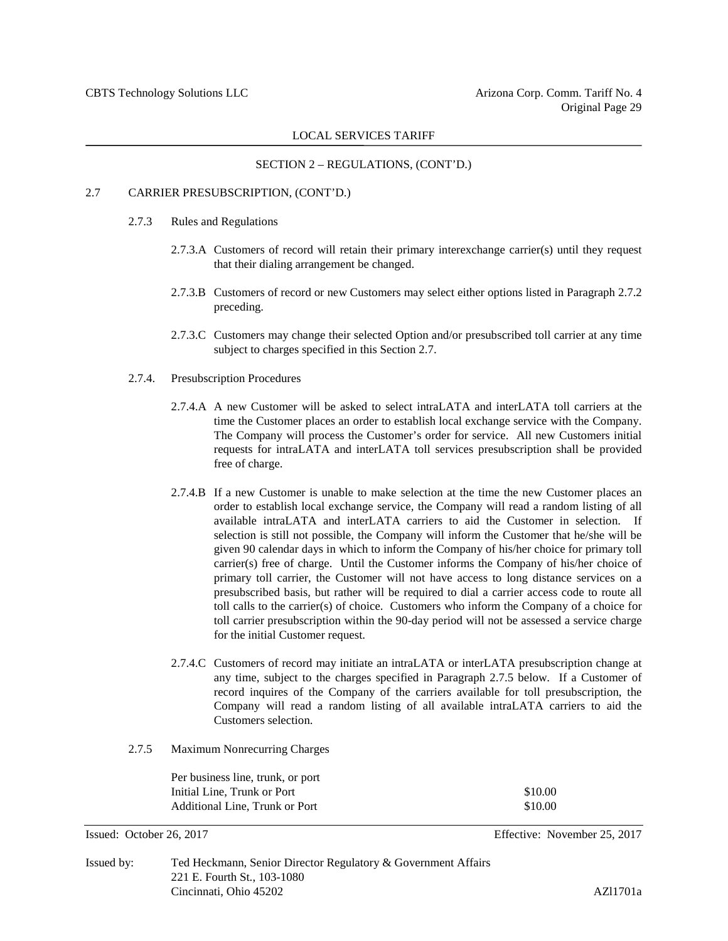# SECTION 2 – REGULATIONS, (CONT'D.)

#### 2.7 CARRIER PRESUBSCRIPTION, (CONT'D.)

- 2.7.3 Rules and Regulations
	- 2.7.3.A Customers of record will retain their primary interexchange carrier(s) until they request that their dialing arrangement be changed.
	- 2.7.3.B Customers of record or new Customers may select either options listed in Paragraph 2.7.2 preceding.
	- 2.7.3.C Customers may change their selected Option and/or presubscribed toll carrier at any time subject to charges specified in this Section 2.7.
- 2.7.4. Presubscription Procedures
	- 2.7.4.A A new Customer will be asked to select intraLATA and interLATA toll carriers at the time the Customer places an order to establish local exchange service with the Company. The Company will process the Customer's order for service. All new Customers initial requests for intraLATA and interLATA toll services presubscription shall be provided free of charge.
	- 2.7.4.B If a new Customer is unable to make selection at the time the new Customer places an order to establish local exchange service, the Company will read a random listing of all available intraLATA and interLATA carriers to aid the Customer in selection. If selection is still not possible, the Company will inform the Customer that he/she will be given 90 calendar days in which to inform the Company of his/her choice for primary toll carrier(s) free of charge. Until the Customer informs the Company of his/her choice of primary toll carrier, the Customer will not have access to long distance services on a presubscribed basis, but rather will be required to dial a carrier access code to route all toll calls to the carrier(s) of choice. Customers who inform the Company of a choice for toll carrier presubscription within the 90-day period will not be assessed a service charge for the initial Customer request.
	- 2.7.4.C Customers of record may initiate an intraLATA or interLATA presubscription change at any time, subject to the charges specified in Paragraph 2.7.5 below. If a Customer of record inquires of the Company of the carriers available for toll presubscription, the Company will read a random listing of all available intraLATA carriers to aid the Customers selection.
- 2.7.5 Maximum Nonrecurring Charges

| Per business line, trunk, or port |         |
|-----------------------------------|---------|
| Initial Line. Trunk or Port       | \$10.00 |
| Additional Line, Trunk or Port    | \$10.00 |

```
Issued: October 26, 2017 Effective: November 25, 2017
```

| Issued by: | Ted Heckmann, Senior Director Regulatory & Government Affairs |          |
|------------|---------------------------------------------------------------|----------|
|            | 221 E. Fourth St., 103-1080                                   |          |
|            | Cincinnati, Ohio 45202                                        | AZ11701a |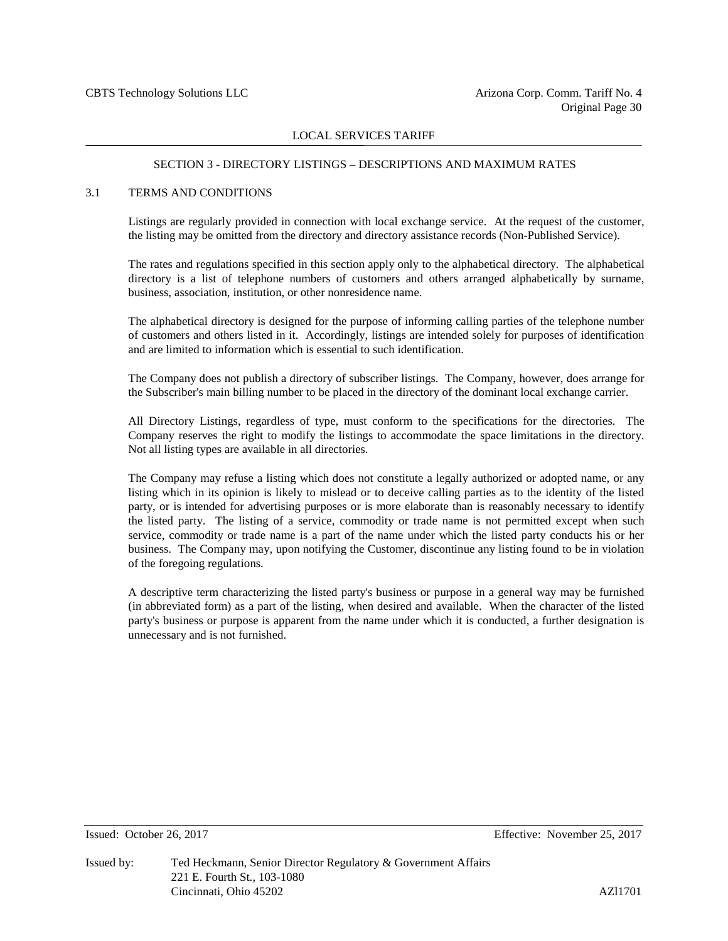#### SECTION 3 - DIRECTORY LISTINGS – DESCRIPTIONS AND MAXIMUM RATES

#### 3.1 TERMS AND CONDITIONS

Listings are regularly provided in connection with local exchange service. At the request of the customer, the listing may be omitted from the directory and directory assistance records (Non-Published Service).

The rates and regulations specified in this section apply only to the alphabetical directory. The alphabetical directory is a list of telephone numbers of customers and others arranged alphabetically by surname, business, association, institution, or other nonresidence name.

The alphabetical directory is designed for the purpose of informing calling parties of the telephone number of customers and others listed in it. Accordingly, listings are intended solely for purposes of identification and are limited to information which is essential to such identification.

The Company does not publish a directory of subscriber listings. The Company, however, does arrange for the Subscriber's main billing number to be placed in the directory of the dominant local exchange carrier.

All Directory Listings, regardless of type, must conform to the specifications for the directories. The Company reserves the right to modify the listings to accommodate the space limitations in the directory. Not all listing types are available in all directories.

The Company may refuse a listing which does not constitute a legally authorized or adopted name, or any listing which in its opinion is likely to mislead or to deceive calling parties as to the identity of the listed party, or is intended for advertising purposes or is more elaborate than is reasonably necessary to identify the listed party. The listing of a service, commodity or trade name is not permitted except when such service, commodity or trade name is a part of the name under which the listed party conducts his or her business. The Company may, upon notifying the Customer, discontinue any listing found to be in violation of the foregoing regulations.

A descriptive term characterizing the listed party's business or purpose in a general way may be furnished (in abbreviated form) as a part of the listing, when desired and available. When the character of the listed party's business or purpose is apparent from the name under which it is conducted, a further designation is unnecessary and is not furnished.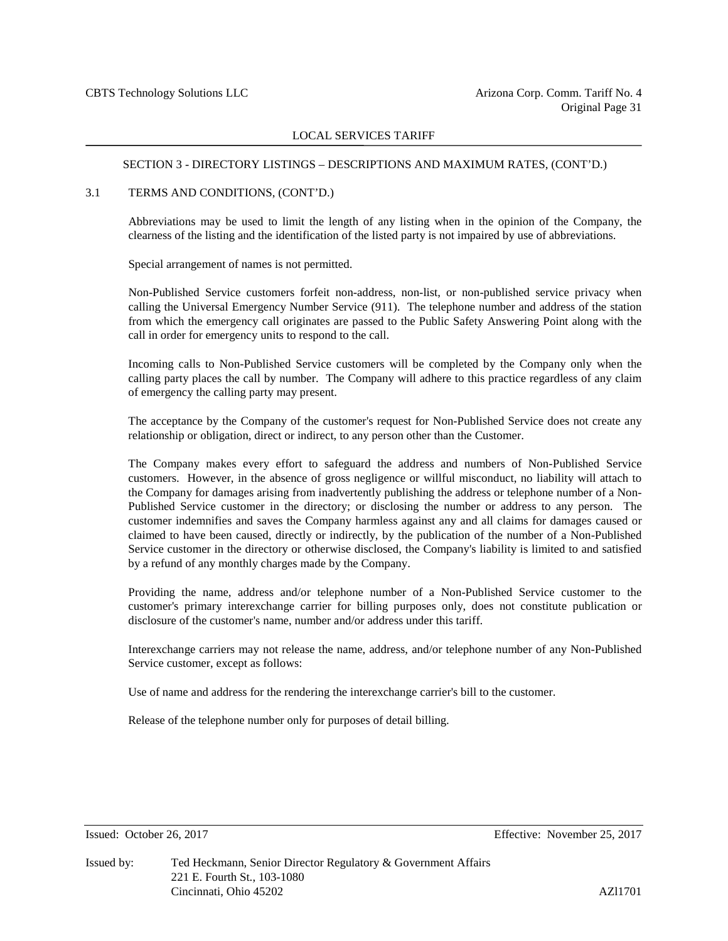#### SECTION 3 - DIRECTORY LISTINGS – DESCRIPTIONS AND MAXIMUM RATES, (CONT'D.)

#### 3.1 TERMS AND CONDITIONS, (CONT'D.)

Abbreviations may be used to limit the length of any listing when in the opinion of the Company, the clearness of the listing and the identification of the listed party is not impaired by use of abbreviations.

Special arrangement of names is not permitted.

Non-Published Service customers forfeit non-address, non-list, or non-published service privacy when calling the Universal Emergency Number Service (911). The telephone number and address of the station from which the emergency call originates are passed to the Public Safety Answering Point along with the call in order for emergency units to respond to the call.

Incoming calls to Non-Published Service customers will be completed by the Company only when the calling party places the call by number. The Company will adhere to this practice regardless of any claim of emergency the calling party may present.

The acceptance by the Company of the customer's request for Non-Published Service does not create any relationship or obligation, direct or indirect, to any person other than the Customer.

The Company makes every effort to safeguard the address and numbers of Non-Published Service customers. However, in the absence of gross negligence or willful misconduct, no liability will attach to the Company for damages arising from inadvertently publishing the address or telephone number of a Non-Published Service customer in the directory; or disclosing the number or address to any person. The customer indemnifies and saves the Company harmless against any and all claims for damages caused or claimed to have been caused, directly or indirectly, by the publication of the number of a Non-Published Service customer in the directory or otherwise disclosed, the Company's liability is limited to and satisfied by a refund of any monthly charges made by the Company.

Providing the name, address and/or telephone number of a Non-Published Service customer to the customer's primary interexchange carrier for billing purposes only, does not constitute publication or disclosure of the customer's name, number and/or address under this tariff.

Interexchange carriers may not release the name, address, and/or telephone number of any Non-Published Service customer, except as follows:

Use of name and address for the rendering the interexchange carrier's bill to the customer.

Release of the telephone number only for purposes of detail billing.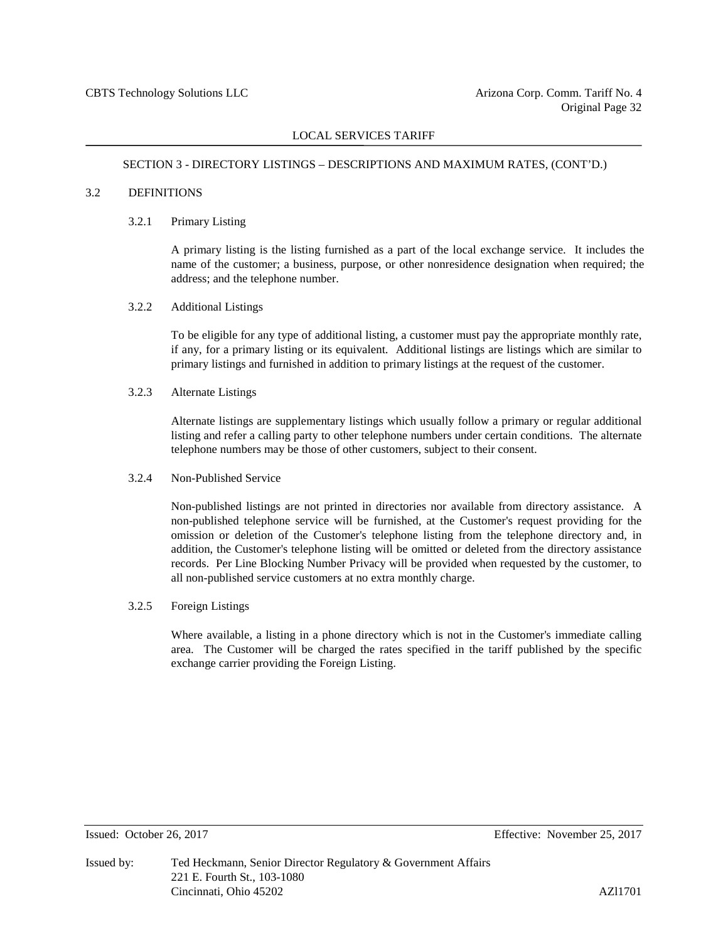#### SECTION 3 - DIRECTORY LISTINGS – DESCRIPTIONS AND MAXIMUM RATES, (CONT'D.)

### 3.2 DEFINITIONS

#### 3.2.1 Primary Listing

A primary listing is the listing furnished as a part of the local exchange service. It includes the name of the customer; a business, purpose, or other nonresidence designation when required; the address; and the telephone number.

#### 3.2.2 Additional Listings

To be eligible for any type of additional listing, a customer must pay the appropriate monthly rate, if any, for a primary listing or its equivalent. Additional listings are listings which are similar to primary listings and furnished in addition to primary listings at the request of the customer.

# 3.2.3 Alternate Listings

Alternate listings are supplementary listings which usually follow a primary or regular additional listing and refer a calling party to other telephone numbers under certain conditions. The alternate telephone numbers may be those of other customers, subject to their consent.

### 3.2.4 Non-Published Service

Non-published listings are not printed in directories nor available from directory assistance. A non-published telephone service will be furnished, at the Customer's request providing for the omission or deletion of the Customer's telephone listing from the telephone directory and, in addition, the Customer's telephone listing will be omitted or deleted from the directory assistance records. Per Line Blocking Number Privacy will be provided when requested by the customer, to all non-published service customers at no extra monthly charge.

#### 3.2.5 Foreign Listings

Where available, a listing in a phone directory which is not in the Customer's immediate calling area. The Customer will be charged the rates specified in the tariff published by the specific exchange carrier providing the Foreign Listing.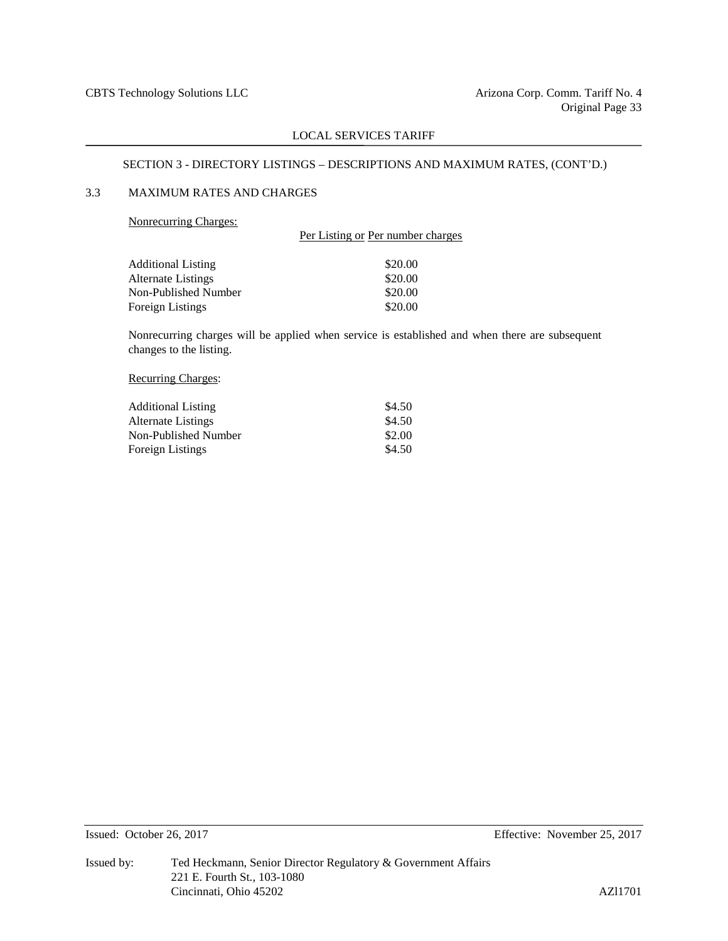# SECTION 3 - DIRECTORY LISTINGS – DESCRIPTIONS AND MAXIMUM RATES, (CONT'D.)

# 3.3 MAXIMUM RATES AND CHARGES

#### Nonrecurring Charges:

|                      | Per Listing or Per number charges |
|----------------------|-----------------------------------|
| Additional Listing   | \$20.00                           |
| Alternate Listings   | \$20.00                           |
| Non-Published Number | \$20.00                           |
| Foreign Listings     | \$20.00                           |
|                      |                                   |

Nonrecurring charges will be applied when service is established and when there are subsequent changes to the listing.

### Recurring Charges:

| <b>Additional Listing</b> | \$4.50 |
|---------------------------|--------|
| Alternate Listings        | \$4.50 |
| Non-Published Number      | \$2.00 |
| <b>Foreign Listings</b>   | \$4.50 |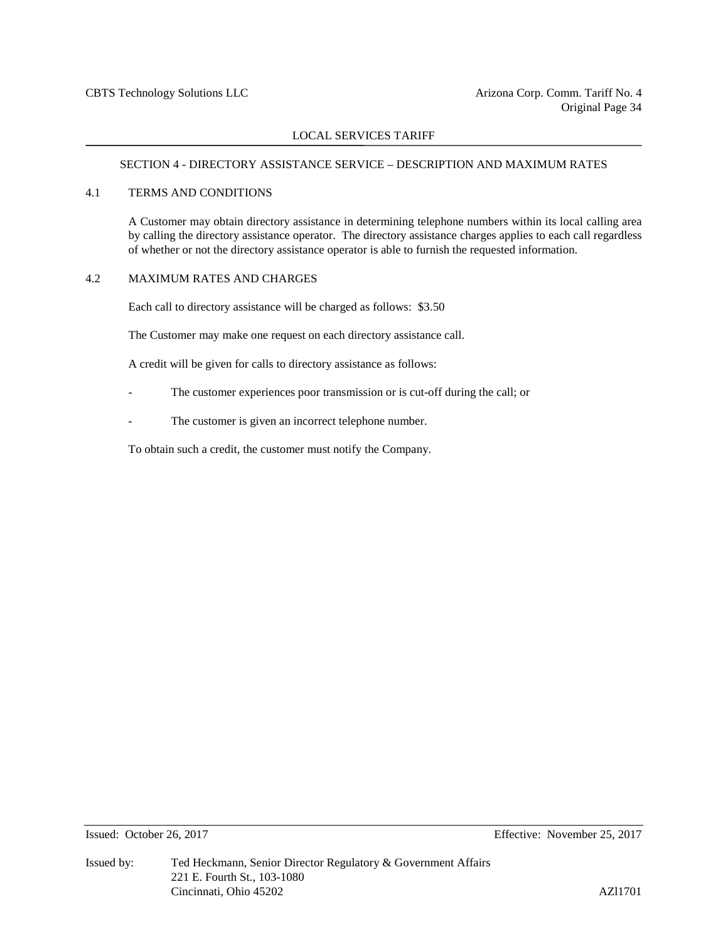# SECTION 4 - DIRECTORY ASSISTANCE SERVICE – DESCRIPTION AND MAXIMUM RATES

#### 4.1 TERMS AND CONDITIONS

A Customer may obtain directory assistance in determining telephone numbers within its local calling area by calling the directory assistance operator. The directory assistance charges applies to each call regardless of whether or not the directory assistance operator is able to furnish the requested information.

#### 4.2 MAXIMUM RATES AND CHARGES

Each call to directory assistance will be charged as follows: \$3.50

The Customer may make one request on each directory assistance call.

A credit will be given for calls to directory assistance as follows:

- The customer experiences poor transmission or is cut-off during the call; or
- The customer is given an incorrect telephone number.

To obtain such a credit, the customer must notify the Company.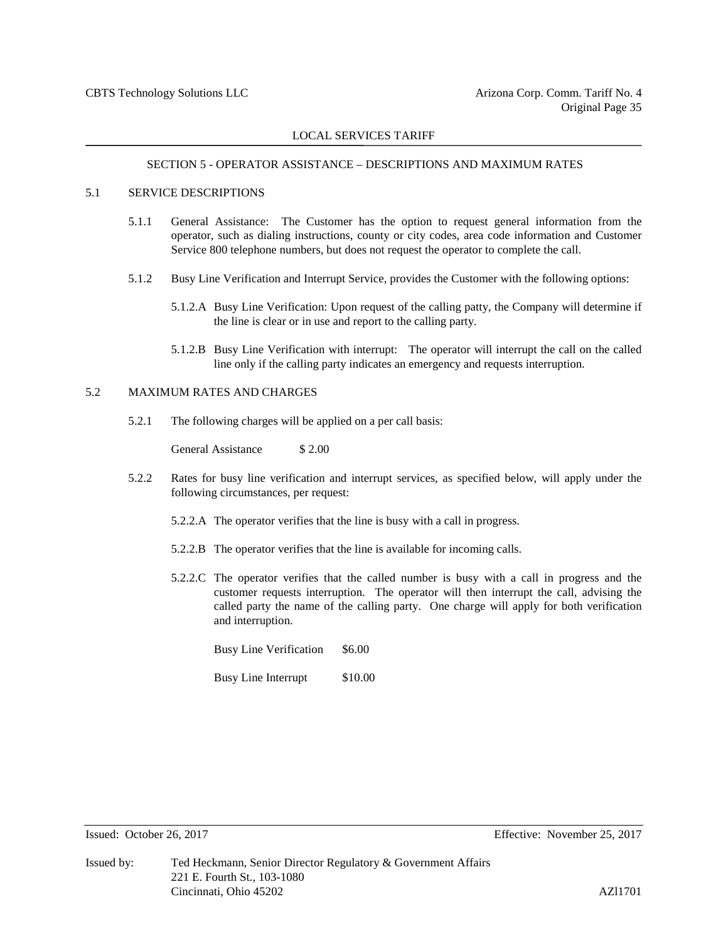# SECTION 5 - OPERATOR ASSISTANCE – DESCRIPTIONS AND MAXIMUM RATES

#### 5.1 SERVICE DESCRIPTIONS

- 5.1.1 General Assistance: The Customer has the option to request general information from the operator, such as dialing instructions, county or city codes, area code information and Customer Service 800 telephone numbers, but does not request the operator to complete the call.
- 5.1.2 Busy Line Verification and Interrupt Service, provides the Customer with the following options:
	- 5.1.2.A Busy Line Verification: Upon request of the calling patty, the Company will determine if the line is clear or in use and report to the calling party.
	- 5.1.2.B Busy Line Verification with interrupt: The operator will interrupt the call on the called line only if the calling party indicates an emergency and requests interruption.

# 5.2 MAXIMUM RATES AND CHARGES

5.2.1 The following charges will be applied on a per call basis:

General Assistance \$2.00

- 5.2.2 Rates for busy line verification and interrupt services, as specified below, will apply under the following circumstances, per request:
	- 5.2.2.A The operator verifies that the line is busy with a call in progress.
	- 5.2.2.B The operator verifies that the line is available for incoming calls.
	- 5.2.2.C The operator verifies that the called number is busy with a call in progress and the customer requests interruption. The operator will then interrupt the call, advising the called party the name of the calling party. One charge will apply for both verification and interruption.

Busy Line Verification \$6.00

Busy Line Interrupt \$10.00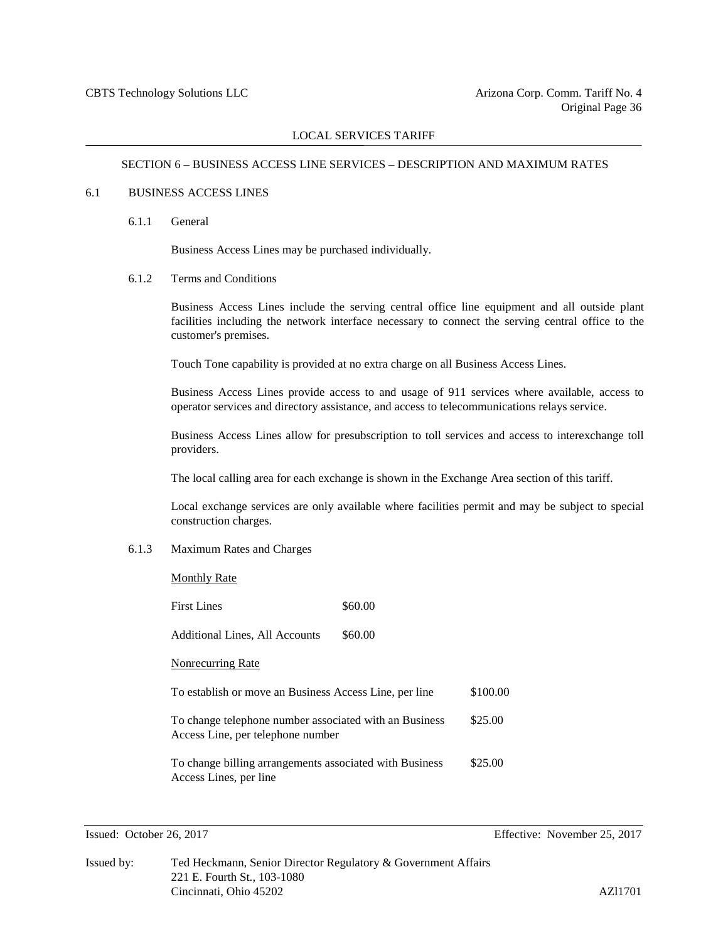# SECTION 6 – BUSINESS ACCESS LINE SERVICES – DESCRIPTION AND MAXIMUM RATES

#### 6.1 BUSINESS ACCESS LINES

6.1.1 General

Business Access Lines may be purchased individually.

#### 6.1.2 Terms and Conditions

Business Access Lines include the serving central office line equipment and all outside plant facilities including the network interface necessary to connect the serving central office to the customer's premises.

Touch Tone capability is provided at no extra charge on all Business Access Lines.

Business Access Lines provide access to and usage of 911 services where available, access to operator services and directory assistance, and access to telecommunications relays service.

Business Access Lines allow for presubscription to toll services and access to interexchange toll providers.

The local calling area for each exchange is shown in the Exchange Area section of this tariff.

Local exchange services are only available where facilities permit and may be subject to special construction charges.

### 6.1.3 Maximum Rates and Charges

| Monthly Rate |  |
|--------------|--|
|              |  |

| First Lines                                                                                 | \$60.00 |          |
|---------------------------------------------------------------------------------------------|---------|----------|
| Additional Lines, All Accounts                                                              | \$60.00 |          |
| <b>Nonrecurring Rate</b>                                                                    |         |          |
| To establish or move an Business Access Line, per line                                      |         | \$100.00 |
| To change telephone number associated with an Business<br>Access Line, per telephone number |         | \$25.00  |
| To change billing arrangements associated with Business<br>Access Lines, per line           |         | \$25.00  |

Issued: October 26, 2017 Effective: November 25, 2017

| Issued by: | Ted Heckmann, Senior Director Regulatory & Government Affairs |         |
|------------|---------------------------------------------------------------|---------|
|            | 221 E. Fourth St., 103-1080                                   |         |
|            | Cincinnati, Ohio 45202                                        | AZ11701 |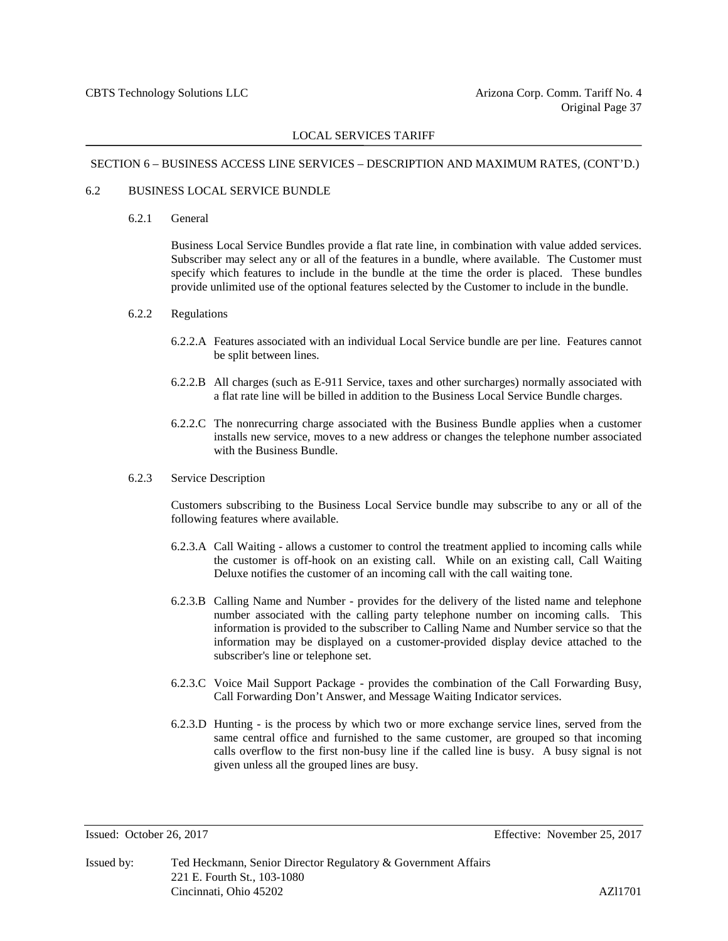#### SECTION 6 – BUSINESS ACCESS LINE SERVICES – DESCRIPTION AND MAXIMUM RATES, (CONT'D.)

### 6.2 BUSINESS LOCAL SERVICE BUNDLE

6.2.1 General

Business Local Service Bundles provide a flat rate line, in combination with value added services. Subscriber may select any or all of the features in a bundle, where available. The Customer must specify which features to include in the bundle at the time the order is placed. These bundles provide unlimited use of the optional features selected by the Customer to include in the bundle.

#### 6.2.2 Regulations

- 6.2.2.A Features associated with an individual Local Service bundle are per line. Features cannot be split between lines.
- 6.2.2.B All charges (such as E-911 Service, taxes and other surcharges) normally associated with a flat rate line will be billed in addition to the Business Local Service Bundle charges.
- 6.2.2.C The nonrecurring charge associated with the Business Bundle applies when a customer installs new service, moves to a new address or changes the telephone number associated with the Business Bundle.

#### 6.2.3 Service Description

Customers subscribing to the Business Local Service bundle may subscribe to any or all of the following features where available.

- 6.2.3.A Call Waiting allows a customer to control the treatment applied to incoming calls while the customer is off-hook on an existing call. While on an existing call, Call Waiting Deluxe notifies the customer of an incoming call with the call waiting tone.
- 6.2.3.B Calling Name and Number provides for the delivery of the listed name and telephone number associated with the calling party telephone number on incoming calls. This information is provided to the subscriber to Calling Name and Number service so that the information may be displayed on a customer-provided display device attached to the subscriber's line or telephone set.
- 6.2.3.C Voice Mail Support Package provides the combination of the Call Forwarding Busy, Call Forwarding Don't Answer, and Message Waiting Indicator services.
- 6.2.3.D Hunting is the process by which two or more exchange service lines, served from the same central office and furnished to the same customer, are grouped so that incoming calls overflow to the first non-busy line if the called line is busy. A busy signal is not given unless all the grouped lines are busy.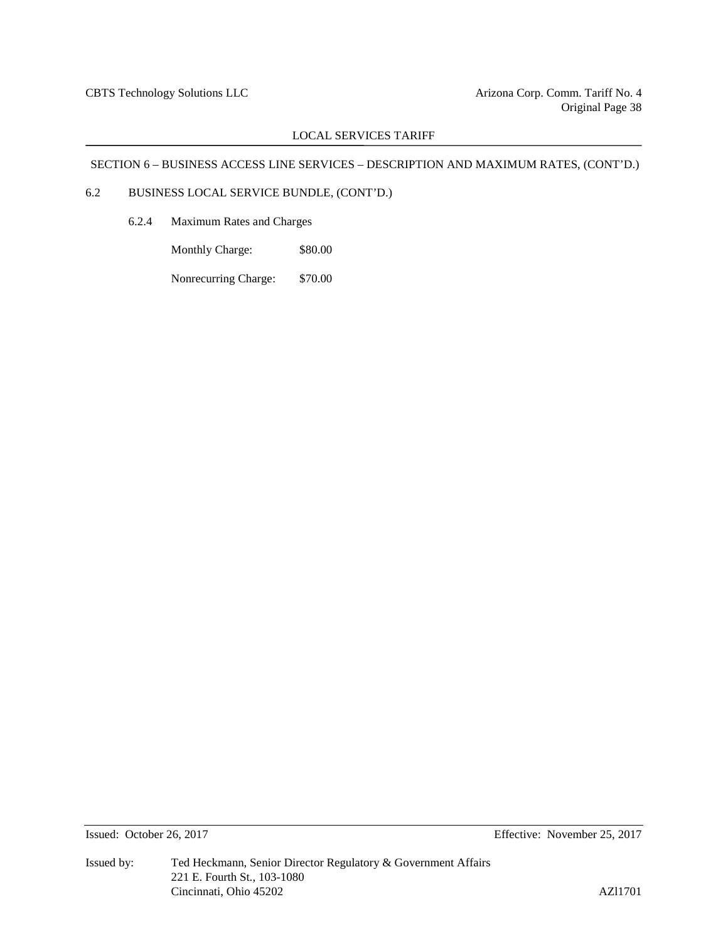# SECTION 6 – BUSINESS ACCESS LINE SERVICES – DESCRIPTION AND MAXIMUM RATES, (CONT'D.)

# 6.2 BUSINESS LOCAL SERVICE BUNDLE, (CONT'D.)

6.2.4 Maximum Rates and Charges

Monthly Charge: \$80.00

Nonrecurring Charge: \$70.00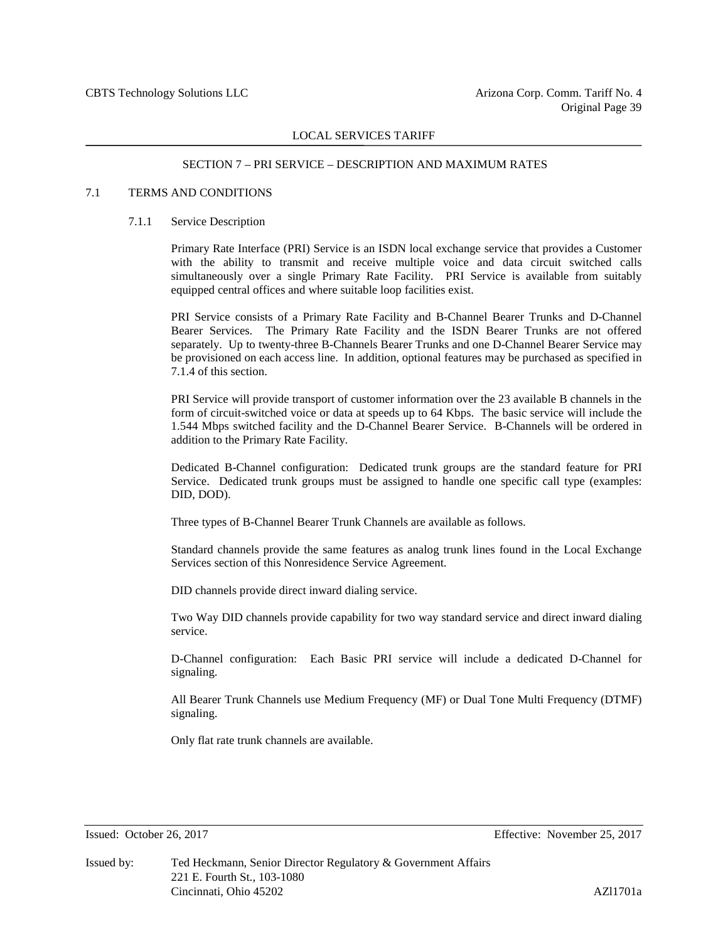#### SECTION 7 – PRI SERVICE – DESCRIPTION AND MAXIMUM RATES

#### 7.1 TERMS AND CONDITIONS

#### 7.1.1 Service Description

Primary Rate Interface (PRI) Service is an ISDN local exchange service that provides a Customer with the ability to transmit and receive multiple voice and data circuit switched calls simultaneously over a single Primary Rate Facility. PRI Service is available from suitably equipped central offices and where suitable loop facilities exist.

PRI Service consists of a Primary Rate Facility and B-Channel Bearer Trunks and D-Channel Bearer Services. The Primary Rate Facility and the ISDN Bearer Trunks are not offered separately. Up to twenty-three B-Channels Bearer Trunks and one D-Channel Bearer Service may be provisioned on each access line. In addition, optional features may be purchased as specified in 7.1.4 of this section.

PRI Service will provide transport of customer information over the 23 available B channels in the form of circuit-switched voice or data at speeds up to 64 Kbps. The basic service will include the 1.544 Mbps switched facility and the D-Channel Bearer Service. B-Channels will be ordered in addition to the Primary Rate Facility.

Dedicated B-Channel configuration: Dedicated trunk groups are the standard feature for PRI Service. Dedicated trunk groups must be assigned to handle one specific call type (examples: DID, DOD).

Three types of B-Channel Bearer Trunk Channels are available as follows.

Standard channels provide the same features as analog trunk lines found in the Local Exchange Services section of this Nonresidence Service Agreement.

DID channels provide direct inward dialing service.

Two Way DID channels provide capability for two way standard service and direct inward dialing service.

D-Channel configuration: Each Basic PRI service will include a dedicated D-Channel for signaling.

All Bearer Trunk Channels use Medium Frequency (MF) or Dual Tone Multi Frequency (DTMF) signaling.

Only flat rate trunk channels are available.

Issued: October 26, 2017 Effective: November 25, 2017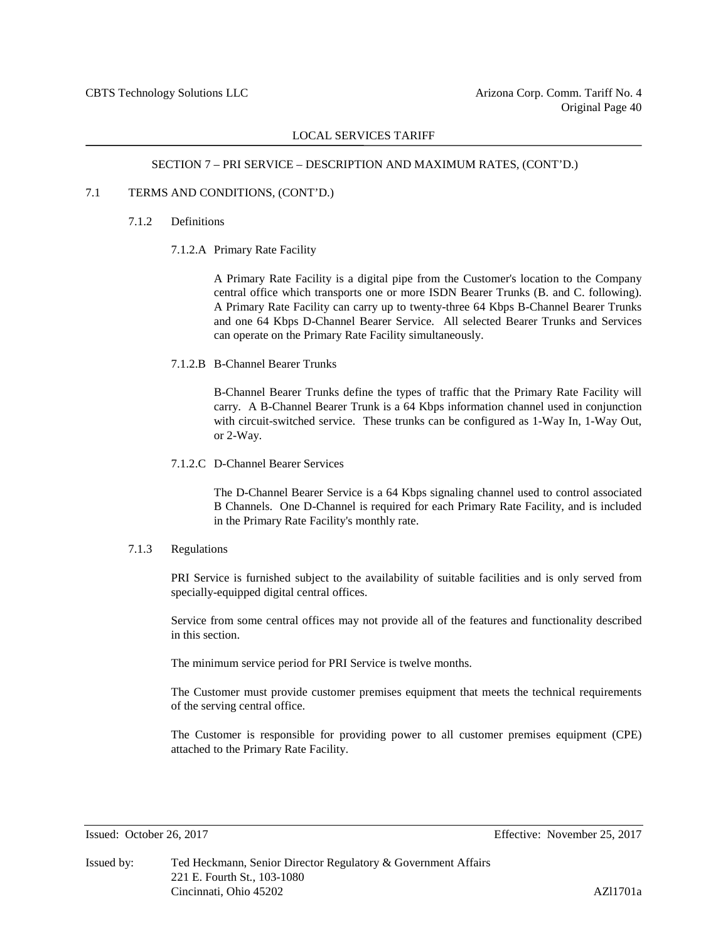### SECTION 7 – PRI SERVICE – DESCRIPTION AND MAXIMUM RATES, (CONT'D.)

# 7.1 TERMS AND CONDITIONS, (CONT'D.)

#### 7.1.2 Definitions

7.1.2.A Primary Rate Facility

A Primary Rate Facility is a digital pipe from the Customer's location to the Company central office which transports one or more ISDN Bearer Trunks (B. and C. following). A Primary Rate Facility can carry up to twenty-three 64 Kbps B-Channel Bearer Trunks and one 64 Kbps D-Channel Bearer Service. All selected Bearer Trunks and Services can operate on the Primary Rate Facility simultaneously.

#### 7.1.2.B B-Channel Bearer Trunks

B-Channel Bearer Trunks define the types of traffic that the Primary Rate Facility will carry. A B-Channel Bearer Trunk is a 64 Kbps information channel used in conjunction with circuit-switched service. These trunks can be configured as 1-Way In, 1-Way Out, or 2-Way.

#### 7.1.2.C D-Channel Bearer Services

The D-Channel Bearer Service is a 64 Kbps signaling channel used to control associated B Channels. One D-Channel is required for each Primary Rate Facility, and is included in the Primary Rate Facility's monthly rate.

#### 7.1.3 Regulations

PRI Service is furnished subject to the availability of suitable facilities and is only served from specially-equipped digital central offices.

Service from some central offices may not provide all of the features and functionality described in this section.

The minimum service period for PRI Service is twelve months.

The Customer must provide customer premises equipment that meets the technical requirements of the serving central office.

The Customer is responsible for providing power to all customer premises equipment (CPE) attached to the Primary Rate Facility.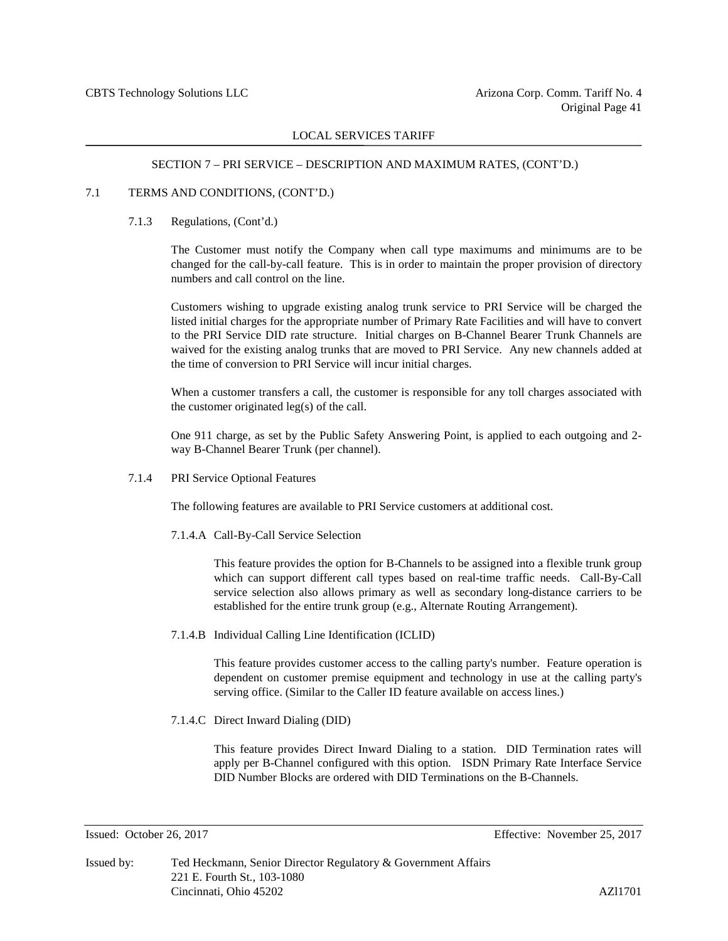# SECTION 7 – PRI SERVICE – DESCRIPTION AND MAXIMUM RATES, (CONT'D.)

# 7.1 TERMS AND CONDITIONS, (CONT'D.)

7.1.3 Regulations, (Cont'd.)

The Customer must notify the Company when call type maximums and minimums are to be changed for the call-by-call feature. This is in order to maintain the proper provision of directory numbers and call control on the line.

Customers wishing to upgrade existing analog trunk service to PRI Service will be charged the listed initial charges for the appropriate number of Primary Rate Facilities and will have to convert to the PRI Service DID rate structure. Initial charges on B-Channel Bearer Trunk Channels are waived for the existing analog trunks that are moved to PRI Service. Any new channels added at the time of conversion to PRI Service will incur initial charges.

When a customer transfers a call, the customer is responsible for any toll charges associated with the customer originated leg(s) of the call.

One 911 charge, as set by the Public Safety Answering Point, is applied to each outgoing and 2 way B-Channel Bearer Trunk (per channel).

7.1.4 PRI Service Optional Features

The following features are available to PRI Service customers at additional cost.

7.1.4.A Call-By-Call Service Selection

This feature provides the option for B-Channels to be assigned into a flexible trunk group which can support different call types based on real-time traffic needs. Call-By-Call service selection also allows primary as well as secondary long-distance carriers to be established for the entire trunk group (e.g., Alternate Routing Arrangement).

7.1.4.B Individual Calling Line Identification (ICLID)

This feature provides customer access to the calling party's number. Feature operation is dependent on customer premise equipment and technology in use at the calling party's serving office. (Similar to the Caller ID feature available on access lines.)

7.1.4.C Direct Inward Dialing (DID)

This feature provides Direct Inward Dialing to a station. DID Termination rates will apply per B-Channel configured with this option. ISDN Primary Rate Interface Service DID Number Blocks are ordered with DID Terminations on the B-Channels.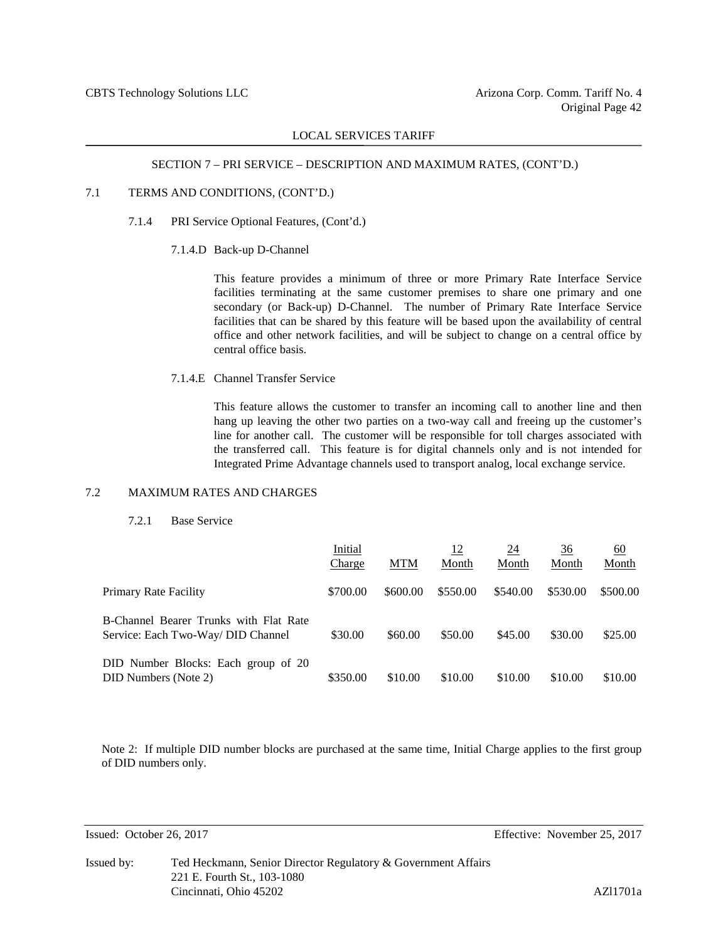#### SECTION 7 – PRI SERVICE – DESCRIPTION AND MAXIMUM RATES, (CONT'D.)

# 7.1 TERMS AND CONDITIONS, (CONT'D.)

- 7.1.4 PRI Service Optional Features, (Cont'd.)
	- 7.1.4.D Back-up D-Channel

This feature provides a minimum of three or more Primary Rate Interface Service facilities terminating at the same customer premises to share one primary and one secondary (or Back-up) D-Channel. The number of Primary Rate Interface Service facilities that can be shared by this feature will be based upon the availability of central office and other network facilities, and will be subject to change on a central office by central office basis.

7.1.4.E Channel Transfer Service

This feature allows the customer to transfer an incoming call to another line and then hang up leaving the other two parties on a two-way call and freeing up the customer's line for another call. The customer will be responsible for toll charges associated with the transferred call. This feature is for digital channels only and is not intended for Integrated Prime Advantage channels used to transport analog, local exchange service.

### 7.2 MAXIMUM RATES AND CHARGES

7.2.1 Base Service

|                                                                              | Initial<br>Charge | <b>MTM</b> | <u>12</u><br>Month | 24<br>Month | 36<br>Month | <u>60</u><br>Month |
|------------------------------------------------------------------------------|-------------------|------------|--------------------|-------------|-------------|--------------------|
| Primary Rate Facility                                                        | \$700.00          | \$600.00   | \$550.00           | \$540.00    | \$530.00    | \$500.00           |
| B-Channel Bearer Trunks with Flat Rate<br>Service: Each Two-Way/ DID Channel | \$30.00           | \$60.00    | \$50.00            | \$45.00     | \$30.00     | \$25.00            |
| DID Number Blocks: Each group of 20<br>DID Numbers (Note 2)                  | \$350.00          | \$10.00    | \$10.00            | \$10.00     | \$10.00     | \$10.00            |

Note 2: If multiple DID number blocks are purchased at the same time, Initial Charge applies to the first group of DID numbers only.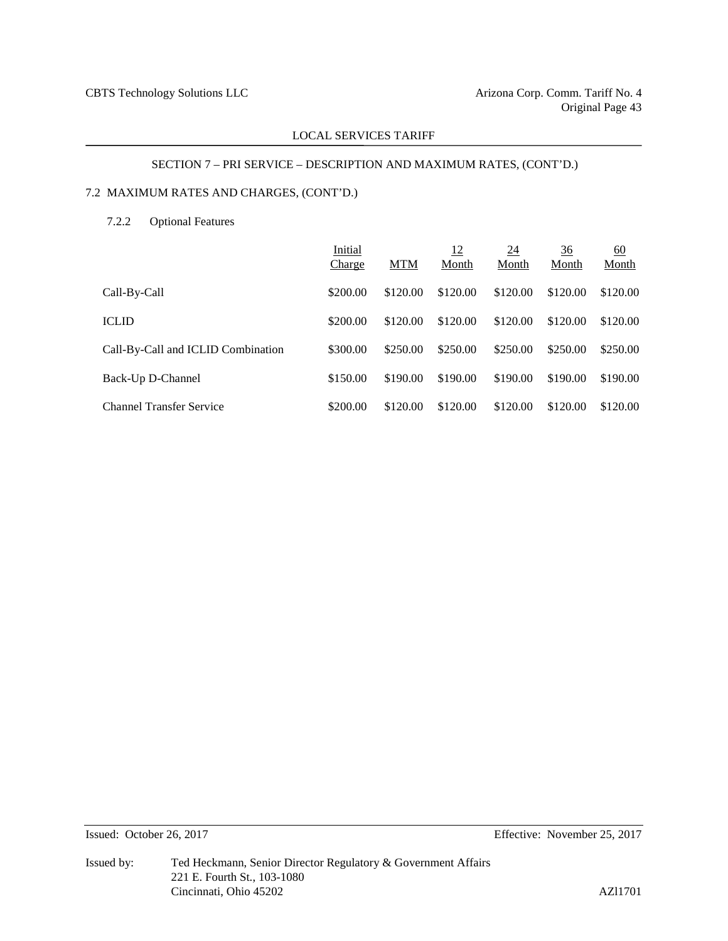# SECTION 7 – PRI SERVICE – DESCRIPTION AND MAXIMUM RATES, (CONT'D.)

# 7.2 MAXIMUM RATES AND CHARGES, (CONT'D.)

# 7.2.2 Optional Features

|                                    | Initial<br>Charge | <b>MTM</b> | <u>12</u><br>Month | <u>24</u><br>Month | <u>36</u><br>Month | 60<br>Month |
|------------------------------------|-------------------|------------|--------------------|--------------------|--------------------|-------------|
| Call-By-Call                       | \$200.00          | \$120.00   | \$120.00           | \$120.00           | \$120.00           | \$120.00    |
| <b>ICLID</b>                       | \$200.00          | \$120.00   | \$120.00           | \$120.00           | \$120.00           | \$120.00    |
| Call-By-Call and ICLID Combination | \$300.00          | \$250.00   | \$250.00           | \$250.00           | \$250.00           | \$250.00    |
| Back-Up D-Channel                  | \$150.00          | \$190.00   | \$190.00           | \$190.00           | \$190.00           | \$190.00    |
| <b>Channel Transfer Service</b>    | \$200.00          | \$120.00   | \$120.00           | \$120.00           | \$120.00           | \$120.00    |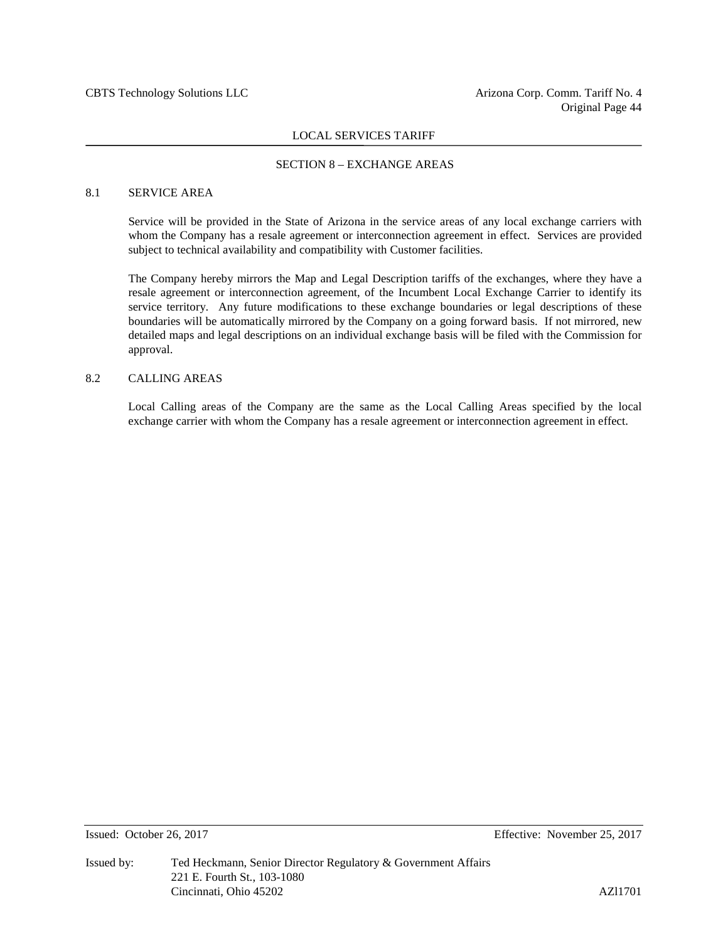#### SECTION 8 – EXCHANGE AREAS

### 8.1 SERVICE AREA

Service will be provided in the State of Arizona in the service areas of any local exchange carriers with whom the Company has a resale agreement or interconnection agreement in effect. Services are provided subject to technical availability and compatibility with Customer facilities.

The Company hereby mirrors the Map and Legal Description tariffs of the exchanges, where they have a resale agreement or interconnection agreement, of the Incumbent Local Exchange Carrier to identify its service territory. Any future modifications to these exchange boundaries or legal descriptions of these boundaries will be automatically mirrored by the Company on a going forward basis. If not mirrored, new detailed maps and legal descriptions on an individual exchange basis will be filed with the Commission for approval.

#### 8.2 CALLING AREAS

Local Calling areas of the Company are the same as the Local Calling Areas specified by the local exchange carrier with whom the Company has a resale agreement or interconnection agreement in effect.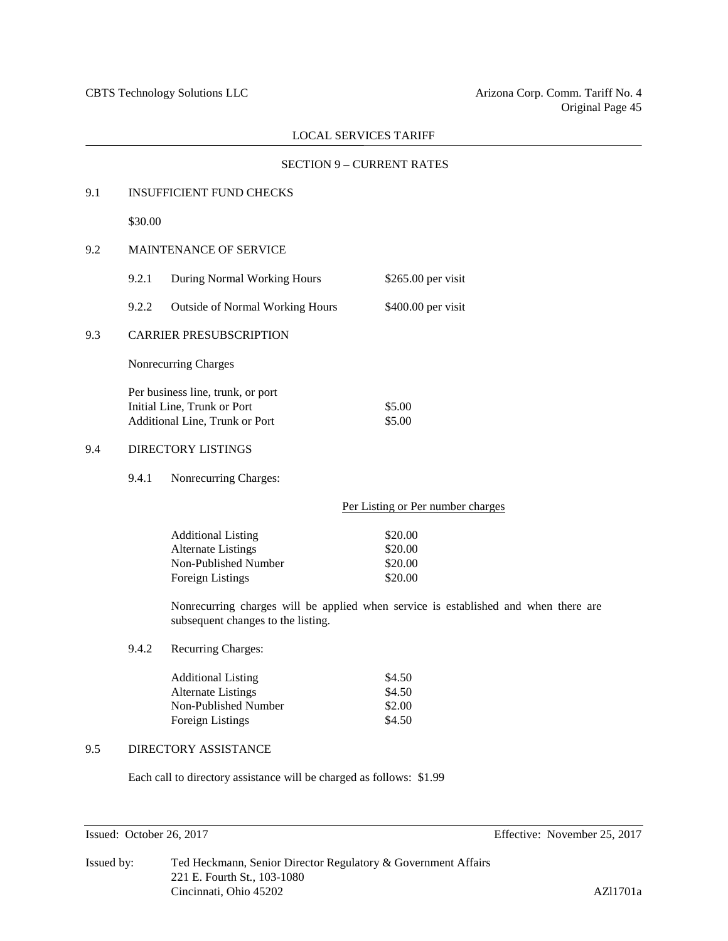# SECTION 9 – CURRENT RATES

# 9.1 INSUFFICIENT FUND CHECKS \$30.00 9.2 MAINTENANCE OF SERVICE 9.2.1 During Normal Working Hours \$265.00 per visit 9.2.2 Outside of Normal Working Hours \$400.00 per visit 9.3 CARRIER PRESUBSCRIPTION Nonrecurring Charges Per business line, trunk, or port Initial Line, Trunk or Port \$5.00 Additional Line, Trunk or Port \$5.00 9.4 DIRECTORY LISTINGS 9.4.1 Nonrecurring Charges: Per Listing or Per number charges Additional Listing \$20.00 Alternate Listings  $$20.00$ Non-Published Number \$20.00 Foreign Listings \$20.00 Nonrecurring charges will be applied when service is established and when there are subsequent changes to the listing. 9.4.2 Recurring Charges: Additional Listing \$4.50 Alternate Listings \$4.50 Non-Published Number \$2.00 Foreign Listings  $$4.50$ 9.5 DIRECTORY ASSISTANCE

Each call to directory assistance will be charged as follows: \$1.99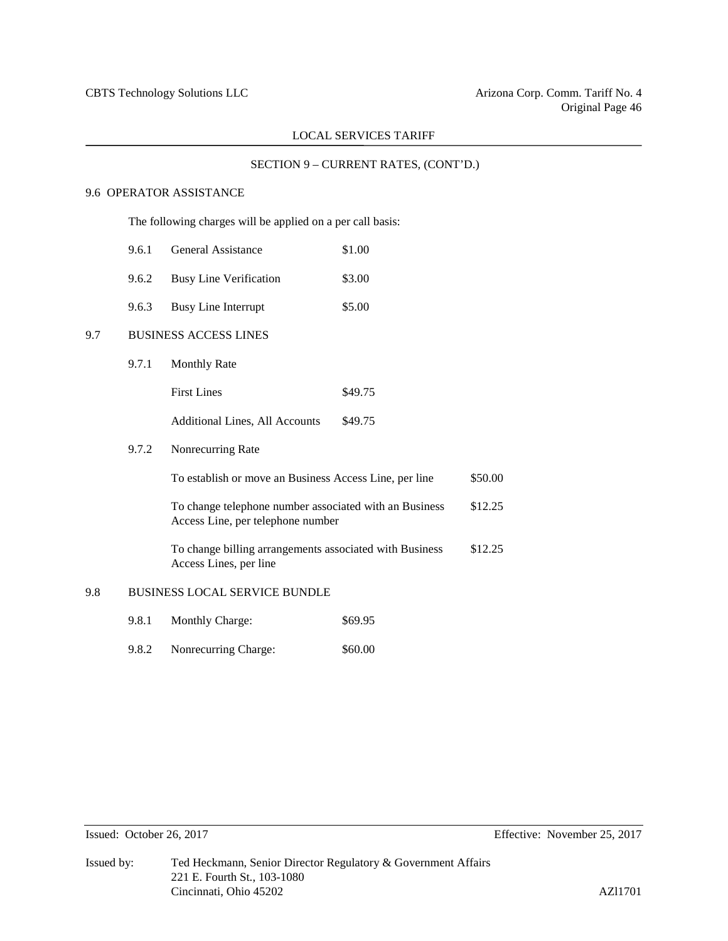# SECTION 9 – CURRENT RATES, (CONT'D.)

# 9.6 OPERATOR ASSISTANCE

The following charges will be applied on a per call basis:

- 9.6.1 General Assistance \$1.00
- 9.6.2 Busy Line Verification \$3.00
- 9.6.3 Busy Line Interrupt \$5.00

# 9.7 BUSINESS ACCESS LINES

9.7.1 Monthly Rate

Additional Lines, All Accounts \$49.75

### 9.7.2 Nonrecurring Rate

| To establish or move an Business Access Line, per line                                      | \$50.00 |
|---------------------------------------------------------------------------------------------|---------|
| To change telephone number associated with an Business<br>Access Line, per telephone number | \$12.25 |
| To change billing arrangements associated with Business<br>Access Lines, per line           | \$12.25 |

#### 9.8 BUSINESS LOCAL SERVICE BUNDLE

- 9.8.1 Monthly Charge: \$69.95
- 9.8.2 Nonrecurring Charge: \$60.00